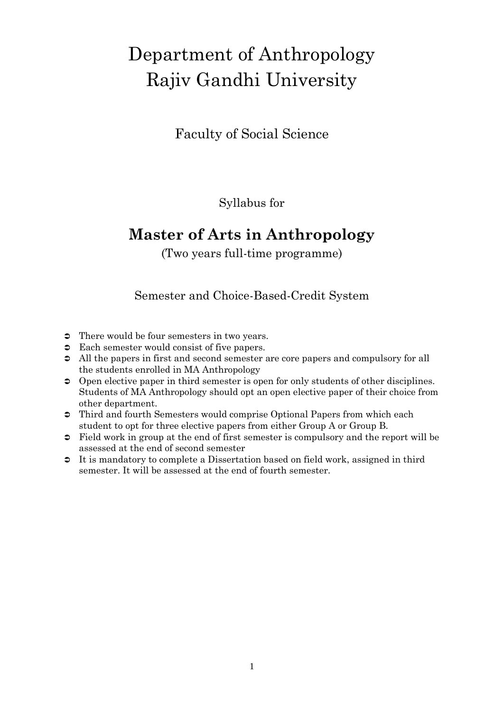# Department of Anthropology Rajiv Gandhi University

Faculty of Social Science

Syllabus for

# **Master of Arts in Anthropology**

(Two years full-time programme)

Semester and Choice-Based-Credit System

- There would be four semesters in two years.
- $\Rightarrow$  Each semester would consist of five papers.
- All the papers in first and second semester are core papers and compulsory for all the students enrolled in MA Anthropology
- $\bullet$  Open elective paper in third semester is open for only students of other disciplines. Students of MA Anthropology should opt an open elective paper of their choice from other department.
- Third and fourth Semesters would comprise Optional Papers from which each student to opt for three elective papers from either Group A or Group B.
- Field work in group at the end of first semester is compulsory and the report will be assessed at the end of second semester
- It is mandatory to complete a Dissertation based on field work, assigned in third semester. It will be assessed at the end of fourth semester.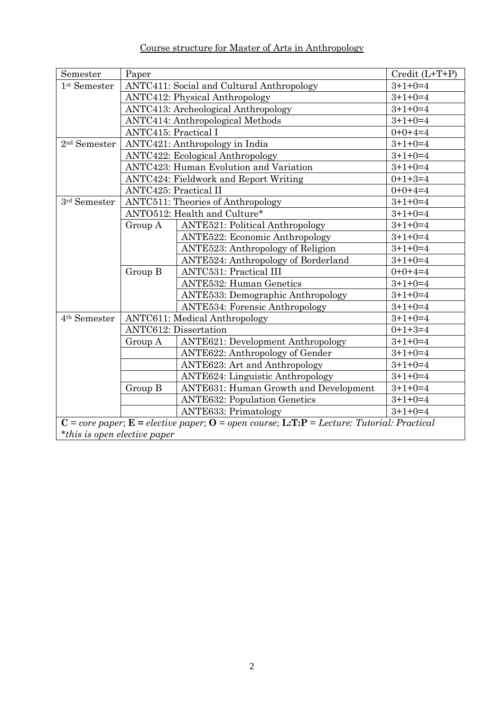# Course structure for Master of Arts in Anthropology

| Semester                                                                                                         | Paper                        |                                              | Credit (L+T+P) |
|------------------------------------------------------------------------------------------------------------------|------------------------------|----------------------------------------------|----------------|
| 1 <sup>st</sup> Semester                                                                                         |                              | ANTC411: Social and Cultural Anthropology    | $3+1+0=4$      |
|                                                                                                                  |                              | <b>ANTC412: Physical Anthropology</b>        | $3+1+0=4$      |
|                                                                                                                  |                              | <b>ANTC413: Archeological Anthropology</b>   | $3+1+0=4$      |
|                                                                                                                  |                              | <b>ANTC414: Anthropological Methods</b>      | $3+1+0=4$      |
|                                                                                                                  | <b>ANTC415: Practical I</b>  |                                              | $0+0+4=4$      |
| 2 <sup>nd</sup> Semester                                                                                         |                              | ANTC421: Anthropology in India               | $3+1+0=4$      |
|                                                                                                                  |                              | <b>ANTC422: Ecological Anthropology</b>      | $3+1+0=4$      |
|                                                                                                                  |                              | ANTC423: Human Evolution and Variation       | $3+1+0=4$      |
|                                                                                                                  |                              | <b>ANTC424: Fieldwork and Report Writing</b> | $0+1+3=4$      |
|                                                                                                                  | <b>ANTC425: Practical II</b> |                                              | $0+0+4=4$      |
| 3rd Semester                                                                                                     |                              | ANTC511: Theories of Anthropology            | $3+1+0=4$      |
|                                                                                                                  |                              | ANTO512: Health and Culture*                 | $3+1+0=4$      |
|                                                                                                                  | Group A                      | <b>ANTE521: Political Anthropology</b>       | $3+1+0=4$      |
|                                                                                                                  |                              | <b>ANTE522: Economic Anthropology</b>        | $3+1+0=4$      |
|                                                                                                                  |                              | <b>ANTE523: Anthropology of Religion</b>     | $3+1+0=4$      |
|                                                                                                                  |                              | ANTE524: Anthropology of Borderland          | $3+1+0=4$      |
|                                                                                                                  | Group B                      | <b>ANTC531: Practical III</b>                | $0+0+4=4$      |
|                                                                                                                  |                              | <b>ANTE532: Human Genetics</b>               | $3+1+0=4$      |
|                                                                                                                  |                              | <b>ANTE533: Demographic Anthropology</b>     | $3+1+0=4$      |
|                                                                                                                  |                              | <b>ANTE534: Forensic Anthropology</b>        | $3+1+0=4$      |
| 4 <sup>th</sup> Semester                                                                                         |                              | <b>ANTC611: Medical Anthropology</b>         | $3+1+0=4$      |
|                                                                                                                  |                              | <b>ANTC612: Dissertation</b>                 | $0+1+3=4$      |
|                                                                                                                  | Group A                      | <b>ANTE621: Development Anthropology</b>     | $3+1+0=4$      |
|                                                                                                                  |                              | ANTE622: Anthropology of Gender              | $3+1+0=4$      |
|                                                                                                                  |                              | ANTE623: Art and Anthropology                | $3+1+0=4$      |
|                                                                                                                  |                              | <b>ANTE624: Linguistic Anthropology</b>      | $3+1+0=4$      |
|                                                                                                                  | Group B                      | <b>ANTE631: Human Growth and Development</b> | $3+1+0=4$      |
|                                                                                                                  |                              | <b>ANTE632: Population Genetics</b>          | $3+1+0=4$      |
|                                                                                                                  |                              | <b>ANTE633: Primatology</b>                  | $3+1+0=4$      |
| $C = core paper$ ; $E = electric \\i> paper$ ; $O = open \ course$ ; $L:T$ : $P = Lecture$ : Tutorial: Practical |                              |                                              |                |
| *this is open elective paper                                                                                     |                              |                                              |                |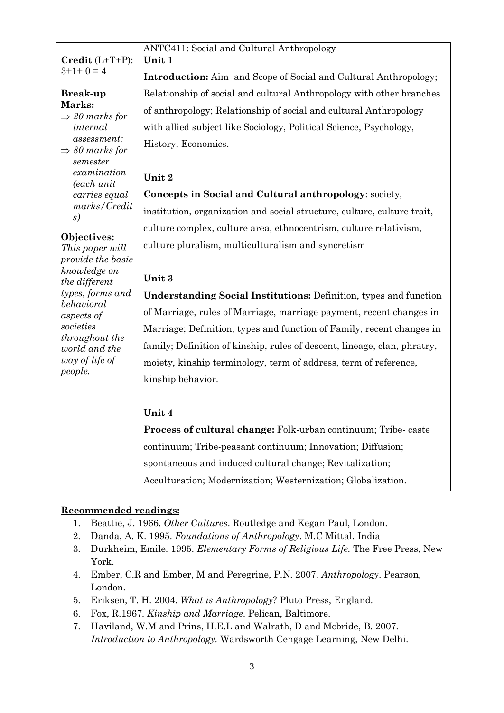|                                                       | <b>ANTC411: Social and Cultural Anthropology</b><br>Unit 1               |
|-------------------------------------------------------|--------------------------------------------------------------------------|
| $\text{Credit} (\text{L+T+P})$ :<br>$3+1+0=4$         |                                                                          |
|                                                       | <b>Introduction:</b> Aim and Scope of Social and Cultural Anthropology;  |
| <b>Break-up</b>                                       | Relationship of social and cultural Anthropology with other branches     |
| Marks:<br>$\Rightarrow$ 20 marks for                  | of anthropology; Relationship of social and cultural Anthropology        |
| internal                                              | with allied subject like Sociology, Political Science, Psychology,       |
| assessment;<br>$\Rightarrow$ 80 marks for<br>semester | History, Economics.                                                      |
| examination<br>(each unit                             | Unit 2                                                                   |
| carries equal                                         | Concepts in Social and Cultural anthropology: society,                   |
| marks/Credit<br>s)                                    | institution, organization and social structure, culture, culture trait,  |
|                                                       | culture complex, culture area, ethnocentrism, culture relativism,        |
| Objectives:<br>This paper will<br>provide the basic   | culture pluralism, multiculturalism and syncretism                       |
| knowledge on<br>the different                         | Unit 3                                                                   |
| types, forms and                                      | <b>Understanding Social Institutions: Definition, types and function</b> |
| behavioral<br>aspects of                              | of Marriage, rules of Marriage, marriage payment, recent changes in      |
| societies                                             | Marriage; Definition, types and function of Family, recent changes in    |
| throughout the<br>world and the                       | family; Definition of kinship, rules of descent, lineage, clan, phratry, |
| way of life of                                        | moiety, kinship terminology, term of address, term of reference,         |
| people.                                               | kinship behavior.                                                        |
|                                                       |                                                                          |
|                                                       | Unit 4                                                                   |
|                                                       | Process of cultural change: Folk-urban continuum; Tribe-caste            |
|                                                       | continuum; Tribe-peasant continuum; Innovation; Diffusion;               |
|                                                       | spontaneous and induced cultural change; Revitalization;                 |
|                                                       | Acculturation; Modernization; Westernization; Globalization.             |

- 1. Beattie, J. 1966. *Other Cultures*. Routledge and Kegan Paul, London.
- 2. Danda, A. K. 1995. *Foundations of Anthropology*. M.C Mittal, India
- 3. Durkheim, Emile. 1995. *Elementary Forms of Religious Life.* The Free Press, New York.
- 4. Ember, C.R and Ember, M and Peregrine, P.N. 2007. *Anthropology*. Pearson, London.
- 5. Eriksen, T. H. 2004. *What is Anthropology*? Pluto Press, England.
- 6. Fox, R.1967. *Kinship and Marriage*. Pelican, Baltimore.
- 7. Haviland, W.M and Prins, H.E.L and Walrath, D and Mcbride, B. 2007. *Introduction to Anthropology.* Wardsworth Cengage Learning, New Delhi.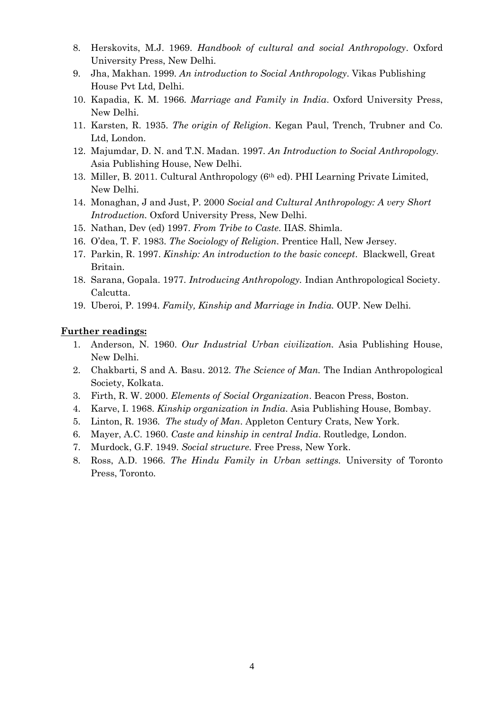- 8. Herskovits, M.J. 1969. *Handbook of cultural and social Anthropology*. Oxford University Press, New Delhi.
- 9. Jha, Makhan. 1999. *An introduction to Social Anthropology*. Vikas Publishing House Pvt Ltd, Delhi.
- 10. Kapadia, K. M. 1966. *Marriage and Family in India*. Oxford University Press, New Delhi.
- 11. Karsten, R. 1935. *The origin of Religion*. Kegan Paul, Trench, Trubner and Co. Ltd, London.
- 12. Majumdar, D. N. and T.N. Madan. 1997. *An Introduction to Social Anthropology.*  Asia Publishing House, New Delhi.
- 13. Miller, B. 2011. Cultural Anthropology (6th ed). PHI Learning Private Limited, New Delhi.
- 14. Monaghan, J and Just, P. 2000 *Social and Cultural Anthropology: A very Short Introduction.* Oxford University Press, New Delhi.
- 15. Nathan, Dev (ed) 1997. *From Tribe to Caste*. IIAS. Shimla.
- 16. O'dea, T. F. 1983. *The Sociology of Religion*. Prentice Hall, New Jersey.
- 17. Parkin, R. 1997. *Kinship: An introduction to the basic concept*. Blackwell, Great Britain.
- 18. Sarana, Gopala. 1977. *Introducing Anthropology.* Indian Anthropological Society. Calcutta.
- 19. Uberoi, P. 1994. *Family, Kinship and Marriage in India.* OUP. New Delhi.

- 1. Anderson, N. 1960. *Our Industrial Urban civilization.* Asia Publishing House, New Delhi.
- 2. Chakbarti, S and A. Basu. 2012. *The Science of Man.* The Indian Anthropological Society, Kolkata.
- 3. Firth, R. W. 2000. *Elements of Social Organization*. Beacon Press, Boston.
- 4. Karve, I. 1968. *Kinship organization in India*. Asia Publishing House, Bombay.
- 5. Linton, R. 1936. *The study of Man*. Appleton Century Crats, New York.
- 6. Mayer, A.C. 1960. *Caste and kinship in central India*. Routledge, London.
- 7. Murdock, G.F. 1949. *Social structure*. Free Press, New York.
- 8. Ross, A.D. 1966. *The Hindu Family in Urban settings.* University of Toronto Press, Toronto.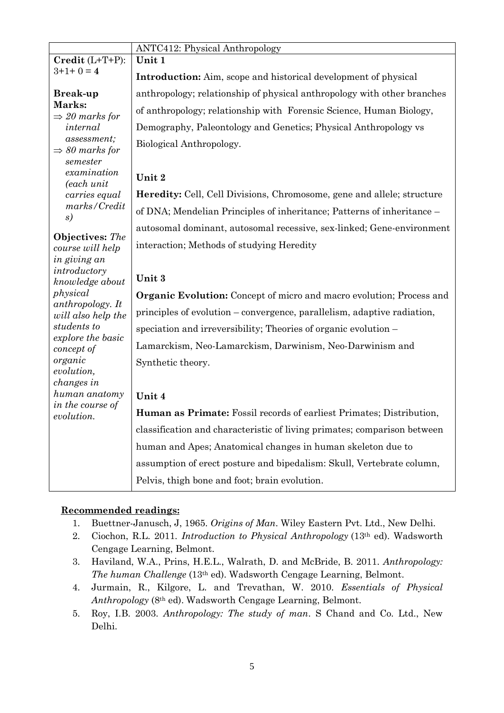|                                                       | <b>ANTC412: Physical Anthropology</b>                                         |
|-------------------------------------------------------|-------------------------------------------------------------------------------|
| $\textbf{Credit} (\text{L+T+P})$ :                    | Unit 1                                                                        |
| $3+1+0=4$                                             | <b>Introduction:</b> Aim, scope and historical development of physical        |
| <b>Break-up</b>                                       | anthropology; relationship of physical anthropology with other branches       |
| Marks:<br>$\Rightarrow$ 20 marks for                  | of anthropology; relationship with Forensic Science, Human Biology,           |
| internal                                              | Demography, Paleontology and Genetics; Physical Anthropology vs               |
| assessment;<br>$\Rightarrow$ 80 marks for<br>semester | Biological Anthropology.                                                      |
| examination<br>(each unit                             | Unit 2                                                                        |
| carries equal                                         | <b>Heredity:</b> Cell, Cell Divisions, Chromosome, gene and allele; structure |
| marks/Credit<br>s)                                    | of DNA; Mendelian Principles of inheritance; Patterns of inheritance –        |
|                                                       | autosomal dominant, autosomal recessive, sex-linked; Gene-environment         |
| <b>Objectives:</b> The<br>course will help            | interaction; Methods of studying Heredity                                     |
| in giving an                                          |                                                                               |
| introductory<br>knowledge about                       | Unit 3                                                                        |
| physical                                              | Organic Evolution: Concept of micro and macro evolution; Process and          |
| anthropology. It<br>will also help the                | principles of evolution – convergence, parallelism, adaptive radiation,       |
| students to                                           | speciation and irreversibility; Theories of organic evolution -               |
| explore the basic<br>concept of                       | Lamarckism, Neo-Lamarckism, Darwinism, Neo-Darwinism and                      |
| organic                                               | Synthetic theory.                                                             |
| evolution,<br>changes in                              |                                                                               |
| human anatomy                                         | Unit 4                                                                        |
| in the course of<br>evolution.                        | Human as Primate: Fossil records of earliest Primates; Distribution,          |
|                                                       | classification and characteristic of living primates; comparison between      |
|                                                       | human and Apes; Anatomical changes in human skeleton due to                   |
|                                                       | assumption of erect posture and bipedalism: Skull, Vertebrate column,         |
|                                                       | Pelvis, thigh bone and foot; brain evolution.                                 |

- 1. Buettner-Janusch, J, 1965. *Origins of Man*. Wiley Eastern Pvt. Ltd., New Delhi.
- 2. Ciochon, R.L. 2011. *Introduction to Physical Anthropology* (13th ed). Wadsworth Cengage Learning, Belmont.
- 3. Haviland, W.A., Prins, H.E.L., Walrath, D. and McBride, B. 2011. *Anthropology: The human Challenge* (13th ed). Wadsworth Cengage Learning, Belmont.
- 4. Jurmain, R., Kilgore, L. and Trevathan, W. 2010. *Essentials of Physical Anthropology* (8th ed). Wadsworth Cengage Learning, Belmont.
- 5. Roy, I.B. 2003. *Anthropology: The study of man*. S Chand and Co. Ltd., New Delhi.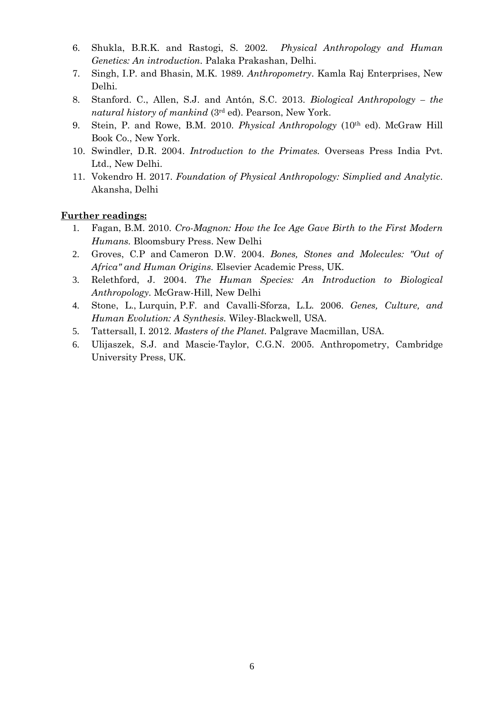- 6. Shukla, B.R.K. and Rastogi, S. 2002. *Physical Anthropology and Human Genetics: An introduction.* Palaka Prakashan, Delhi.
- 7. Singh, I.P. and Bhasin, M.K. 1989. *Anthropometry*. Kamla Raj Enterprises, New Delhi.
- 8. Stanford. C., Allen, S.J. and Antón, S.C. 2013. *Biological Anthropology – the natural history of mankind* (3rd ed). Pearson, New York.
- 9. Stein, P. and Rowe, B.M. 2010. *Physical Anthropology* (10th ed). McGraw Hill Book Co., New York.
- 10. Swindler, D.R. 2004. *Introduction to the Primates.* Overseas Press India Pvt. Ltd., New Delhi.
- 11. Vokendro H. 2017. *Foundation of Physical Anthropology: Simplied and Analytic*. Akansha, Delhi

- 1. Fagan, B.M. 2010. *Cro-Magnon: How the Ice Age Gave Birth to the First Modern Humans.* Bloomsbury Press. New Delhi
- 2. Groves, C.P and Cameron D.W. 2004. *Bones, Stones and Molecules: "Out of Africa" and Human Origins.* Elsevier Academic Press, UK.
- 3. Relethford, J. 2004. *The Human Species: An Introduction to Biological Anthropology.* McGraw-Hill, New Delhi
- 4. Stone, L., Lurquin, P.F. and Cavalli-Sforza, L.L. 2006. *Genes, Culture, and Human Evolution: A Synthesis.* Wiley-Blackwell, USA.
- 5. Tattersall, I. 2012. *Masters of the Planet.* Palgrave Macmillan, USA.
- 6. Ulijaszek, S.J. and Mascie-Taylor, C.G.N. 2005. Anthropometry, Cambridge University Press, UK.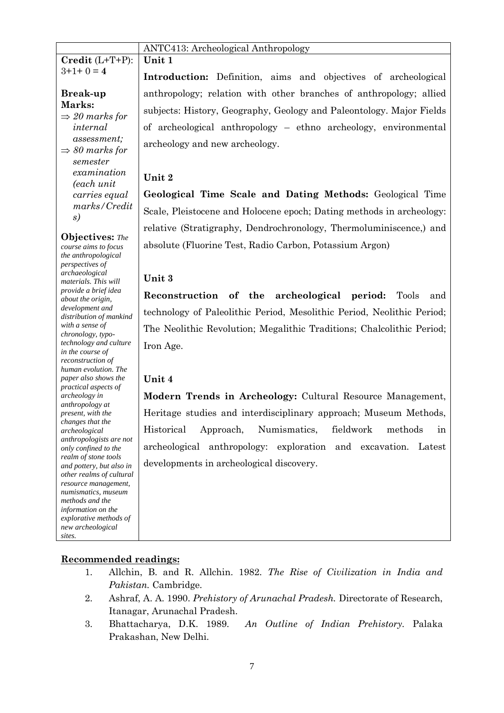|                                                                | ANTC413: Archeological Anthropology                                     |
|----------------------------------------------------------------|-------------------------------------------------------------------------|
| $Credit (L+T+P):$                                              | Unit 1                                                                  |
| $3+1+0=4$                                                      | Introduction: Definition, aims and objectives of archeological          |
| <b>Break-up</b>                                                | anthropology; relation with other branches of anthropology; allied      |
| Marks:<br>$\Rightarrow$ 20 marks for                           | subjects: History, Geography, Geology and Paleontology. Major Fields    |
| internal                                                       | of archeological anthropology - ethno archeology, environmental         |
| assessment;<br>$\Rightarrow$ 80 marks for<br>semester          | archeology and new archeology.                                          |
| examination<br>(each unit                                      | Unit 2                                                                  |
| carries equal                                                  | Geological Time Scale and Dating Methods: Geological Time               |
| marks/Credit<br>s)                                             | Scale, Pleistocene and Holocene epoch; Dating methods in archeology:    |
| <b>Objectives:</b> The                                         | relative (Stratigraphy, Dendrochronology, Thermoluminiscence,) and      |
| course aims to focus<br>the anthropological<br>perspectives of | absolute (Fluorine Test, Radio Carbon, Potassium Argon)                 |
| archaeological<br>materials. This will                         | Unit 3                                                                  |
| provide a brief idea<br>about the origin,                      | Reconstruction of the archeological period:<br>Tools<br>and             |
| development and<br>distribution of mankind                     | technology of Paleolithic Period, Mesolithic Period, Neolithic Period;  |
| with a sense of<br>chronology, typo-                           | The Neolithic Revolution; Megalithic Traditions; Chalcolithic Period;   |
| technology and culture<br>in the course of                     | Iron Age.                                                               |
| reconstruction of<br>human evolution. The                      |                                                                         |
| paper also shows the<br>practical aspects of                   | Unit 4                                                                  |
| archeology in<br>anthropology at                               | Modern Trends in Archeology: Cultural Resource Management,              |
| present, with the<br>changes that the                          | Heritage studies and interdisciplinary approach; Museum Methods,        |
| archeological<br>anthropologists are not                       | Historical<br>Numismatics,<br>fieldwork<br>Approach,<br>methods<br>in   |
| only confined to the<br>realm of stone tools                   | archeological<br>anthropology: exploration<br>and excavation.<br>Latest |
| and pottery, but also in<br>other realms of cultural           | developments in archeological discovery.                                |
| resource management,<br>numismatics, museum                    |                                                                         |
| methods and the                                                |                                                                         |
| information on the                                             |                                                                         |

*explorative methods of new archeological* 

*sites.*

- 1. Allchin, B. and R. Allchin. 1982. *The Rise of Civilization in India and Pakistan.* Cambridge.
- 2. Ashraf, A. A. 1990. *Prehistory of Arunachal Pradesh.* Directorate of Research, Itanagar, Arunachal Pradesh.
- 3. Bhattacharya, D.K. 1989. *An Outline of Indian Prehistory.* Palaka Prakashan, New Delhi.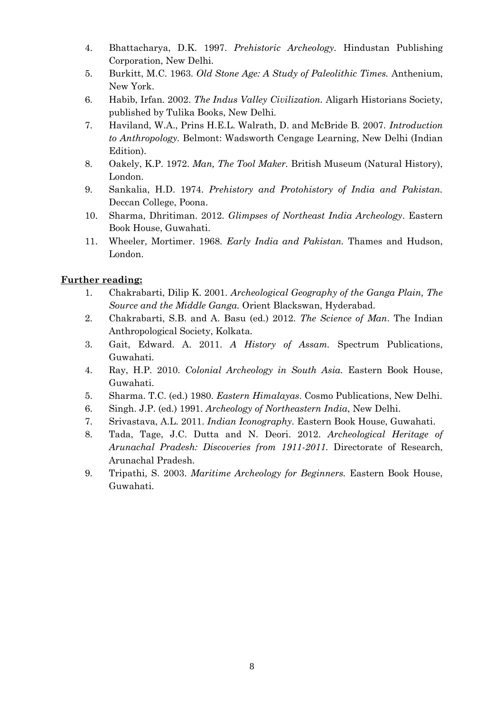- 4. Bhattacharya, D.K. 1997. *Prehistoric Archeology.* Hindustan Publishing Corporation, New Delhi.
- 5. Burkitt, M.C. 1963. *Old Stone Age: A Study of Paleolithic Times.* Anthenium, New York.
- 6. Habib, Irfan. 2002. *The Indus Valley Civilization.* Aligarh Historians Society, published by Tulika Books, New Delhi.
- 7. Haviland, W.A., Prins H.E.L. Walrath, D. and McBride B. 2007. *Introduction to Anthropology.* Belmont: Wadsworth Cengage Learning, New Delhi (Indian Edition).
- 8. Oakely, K.P. 1972. *Man, The Tool Maker.* British Museum (Natural History), London.
- 9. Sankalia, H.D. 1974. *Prehistory and Protohistory of India and Pakistan.* Deccan College, Poona.
- 10. Sharma, Dhritiman. 2012. *Glimpses of Northeast India Archeology*. Eastern Book House, Guwahati.
- 11. Wheeler, Mortimer. 1968. *Early India and Pakistan.* Thames and Hudson, London.

- 1. Chakrabarti, Dilip K. 2001. *Archeological Geography of the Ganga Plain, The Source and the Middle Ganga.* Orient Blackswan, Hyderabad.
- 2. Chakrabarti, S.B. and A. Basu (ed.) 2012. *The Science of Man*. The Indian Anthropological Society, Kolkata.
- 3. Gait, Edward. A. 2011. *A History of Assam.* Spectrum Publications, Guwahati.
- 4. Ray, H.P. 2010. *Colonial Archeology in South Asia.* Eastern Book House, Guwahati.
- 5. Sharma. T.C. (ed.) 1980. *Eastern Himalayas*. Cosmo Publications, New Delhi.
- 6. Singh. J.P. (ed.) 1991. *Archeology of Northeastern India*, New Delhi.
- 7. Srivastava, A.L. 2011. *Indian Iconography.* Eastern Book House, Guwahati.
- 8. Tada, Tage, J.C. Dutta and N. Deori. 2012. *Archeological Heritage of Arunachal Pradesh: Discoveries from 1911-2011.* Directorate of Research, Arunachal Pradesh.
- 9. Tripathi, S. 2003. *Maritime Archeology for Beginners.* Eastern Book House, Guwahati.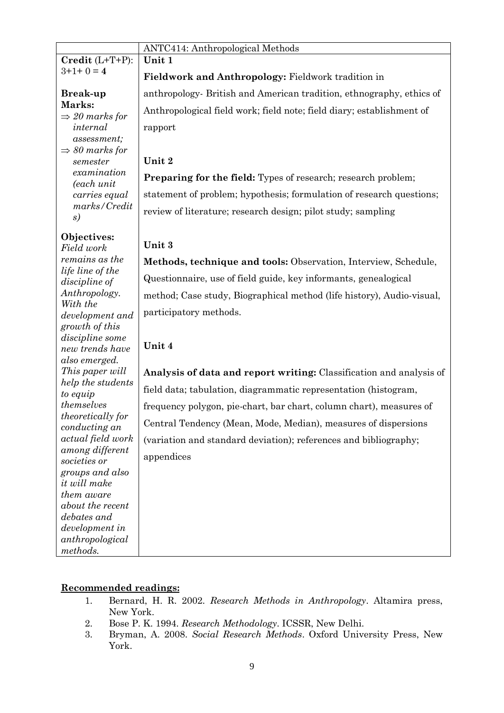| $\textbf{Credit} (\text{L+T+P})$ :        | ANTC414: Anthropological Methods<br>Unit 1                            |
|-------------------------------------------|-----------------------------------------------------------------------|
| $3+1+0=4$                                 |                                                                       |
|                                           | Fieldwork and Anthropology: Fieldwork tradition in                    |
| <b>Break-up</b>                           | anthropology- British and American tradition, ethnography, ethics of  |
| Marks:                                    | Anthropological field work; field note; field diary; establishment of |
| $\Rightarrow$ 20 marks for<br>internal    | rapport                                                               |
| assessment;                               |                                                                       |
| $\Rightarrow$ 80 marks for                |                                                                       |
| semester                                  | Unit 2                                                                |
| examination<br>(each unit                 | <b>Preparing for the field:</b> Types of research; research problem;  |
| carries equal                             | statement of problem; hypothesis; formulation of research questions;  |
| marks/Credit<br>s)                        | review of literature; research design; pilot study; sampling          |
|                                           |                                                                       |
| Objectives:<br>Field work                 | Unit 3                                                                |
| remains as the                            | Methods, technique and tools: Observation, Interview, Schedule,       |
| life line of the<br><i>discipline of</i>  | Questionnaire, use of field guide, key informants, genealogical       |
| Anthropology.<br>With the                 | method; Case study, Biographical method (life history), Audio-visual, |
| development and                           | participatory methods.                                                |
| growth of this                            |                                                                       |
| <i>discipline</i> some<br>new trends have | Unit 4                                                                |
| also emerged.                             |                                                                       |
| This paper will                           | Analysis of data and report writing: Classification and analysis of   |
| help the students<br>to equip             | field data; tabulation, diagrammatic representation (histogram,       |
| themselves<br>theoretically for           | frequency polygon, pie-chart, bar chart, column chart), measures of   |
| conducting an                             | Central Tendency (Mean, Mode, Median), measures of dispersions        |
| actual field work                         | (variation and standard deviation); references and bibliography;      |
| among different<br>societies or           | appendices                                                            |
| groups and also                           |                                                                       |
| it will make<br>them aware                |                                                                       |
| about the recent                          |                                                                       |
| debates and                               |                                                                       |
| development in                            |                                                                       |
| anthropological                           |                                                                       |
| methods.                                  |                                                                       |

- 1. Bernard, H. R. 2002. *Research Methods in Anthropology*. Altamira press, New York.
- 2. Bose P. K. 1994. *Research Methodology*. ICSSR, New Delhi.
- 3. Bryman, A. 2008. *Social Research Methods*. Oxford University Press, New York.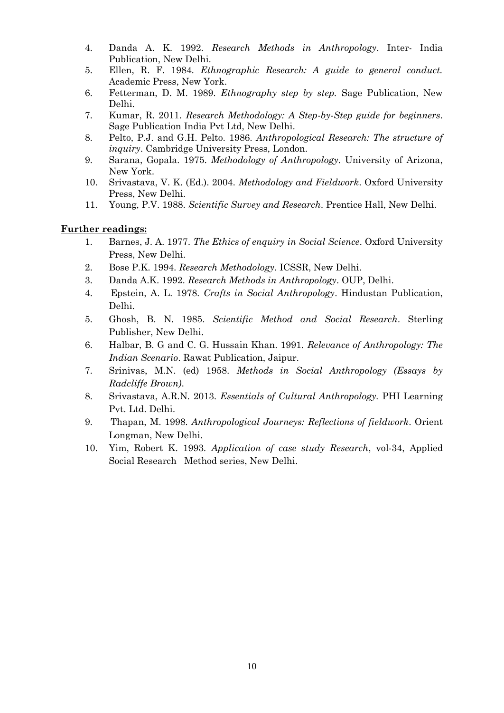- 4. Danda A. K. 1992. *Research Methods in Anthropology*. Inter- India Publication, New Delhi.
- 5. Ellen, R. F. 1984. *Ethnographic Research: A guide to general conduct.* Academic Press, New York.
- 6. Fetterman, D. M. 1989. *Ethnography step by step.* Sage Publication, New Delhi.
- 7. Kumar, R. 2011. *Research Methodology: A Step-by-Step guide for beginners*. Sage Publication India Pvt Ltd, New Delhi.
- 8. Pelto, P.J. and G.H. Pelto. 1986. *Anthropological Research: The structure of inquiry*. Cambridge University Press, London.
- 9. Sarana, Gopala. 1975. *Methodology of Anthropology*. University of Arizona, New York.
- 10. Srivastava, V. K. (Ed.). 2004. *Methodology and Fieldwork*. Oxford University Press, New Delhi.
- 11. Young, P.V. 1988. *Scientific Survey and Research*. Prentice Hall, New Delhi.

- 1. Barnes, J. A. 1977. *The Ethics of enquiry in Social Science*. Oxford University Press, New Delhi.
- 2. Bose P.K. 1994. *Research Methodology.* ICSSR, New Delhi.
- 3. Danda A.K. 1992. *Research Methods in Anthropology*. OUP, Delhi.
- 4. Epstein, A. L. 1978. *Crafts in Social Anthropology*. Hindustan Publication, Delhi.
- 5. Ghosh, B. N. 1985. *Scientific Method and Social Research*. Sterling Publisher, New Delhi.
- 6. Halbar, B. G and C. G. Hussain Khan. 1991. *Relevance of Anthropology: The Indian Scenario*. Rawat Publication, Jaipur.
- 7. Srinivas, M.N. (ed) 1958. *Methods in Social Anthropology (Essays by Radcliffe Brown)*.
- 8. Srivastava, A.R.N. 2013. *Essentials of Cultural Anthropology.* PHI Learning Pvt. Ltd. Delhi.
- 9. Thapan, M. 1998. *Anthropological Journeys: Reflections of fieldwork*. Orient Longman, New Delhi.
- 10. Yim, Robert K. 1993. *Application of case study Research*, vol-34, Applied Social Research Method series, New Delhi.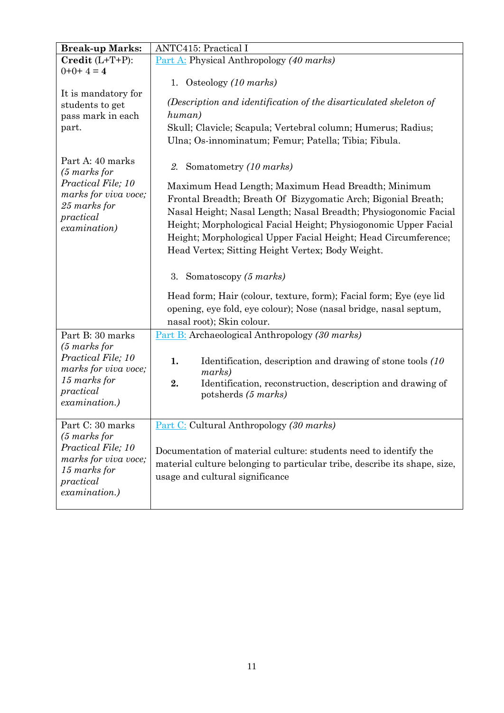| <b>Break-up Marks:</b>                                                                                                                  | <b>ANTC415: Practical I</b>                                                                                                                                                                                                                                                                                                                                                                                                                                                                                                                                                                                                |
|-----------------------------------------------------------------------------------------------------------------------------------------|----------------------------------------------------------------------------------------------------------------------------------------------------------------------------------------------------------------------------------------------------------------------------------------------------------------------------------------------------------------------------------------------------------------------------------------------------------------------------------------------------------------------------------------------------------------------------------------------------------------------------|
| $\textbf{Credit} (\text{L+T+P})$ :                                                                                                      | Part A: Physical Anthropology (40 marks)                                                                                                                                                                                                                                                                                                                                                                                                                                                                                                                                                                                   |
| $0+0+4=4$<br>It is mandatory for<br>students to get<br>pass mark in each<br>part.                                                       | 1. Osteology $(10 \text{ marks})$<br>(Description and identification of the disarticulated skeleton of<br>human)<br>Skull; Clavicle; Scapula; Vertebral column; Humerus; Radius;<br>Ulna; Os-innominatum; Femur; Patella; Tibia; Fibula.                                                                                                                                                                                                                                                                                                                                                                                   |
| Part A: 40 marks<br>$(5 \text{ marks for})$<br>Practical File; 10<br>marks for viva voce;<br>25 marks for<br>practical<br>examination)  | 2. Somatometry (10 marks)<br>Maximum Head Length; Maximum Head Breadth; Minimum<br>Frontal Breadth; Breath Of Bizygomatic Arch; Bigonial Breath;<br>Nasal Height; Nasal Length; Nasal Breadth; Physiogonomic Facial<br>Height; Morphological Facial Height; Physiogonomic Upper Facial<br>Height; Morphological Upper Facial Height; Head Circumference;<br>Head Vertex; Sitting Height Vertex; Body Weight.<br>3. Somatoscopy $(5 \text{ marks})$<br>Head form; Hair (colour, texture, form); Facial form; Eye (eye lid<br>opening, eye fold, eye colour); Nose (nasal bridge, nasal septum,<br>nasal root); Skin colour. |
| Part B: 30 marks<br>$(5 \text{ marks for})$<br>Practical File; 10<br>marks for viva voce;<br>15 marks for<br>practical<br>examination.) | Part B: Archaeological Anthropology (30 marks)<br>1.<br>Identification, description and drawing of stone tools $(10$<br>marks)<br>2.<br>Identification, reconstruction, description and drawing of<br>potsherds (5 marks)                                                                                                                                                                                                                                                                                                                                                                                                  |
| Part C: 30 marks<br>$(5 \text{ marks for})$<br>Practical File; 10<br>marks for viva voce;<br>15 marks for<br>practical<br>examination.) | Part C: Cultural Anthropology (30 marks)<br>Documentation of material culture: students need to identify the<br>material culture belonging to particular tribe, describe its shape, size,<br>usage and cultural significance                                                                                                                                                                                                                                                                                                                                                                                               |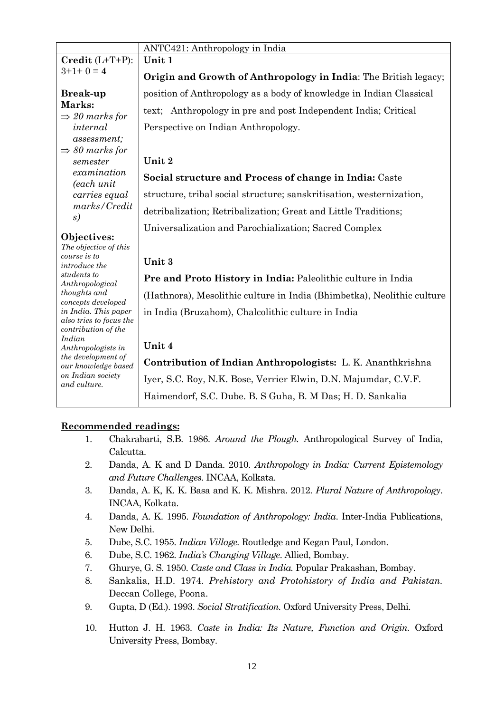|                                                 | ANTC421: Anthropology in India                                         |
|-------------------------------------------------|------------------------------------------------------------------------|
| $\textbf{Credit} (\text{L+T+P})$ :              | Unit 1                                                                 |
| $3+1+0=4$                                       | Origin and Growth of Anthropology in India: The British legacy;        |
| <b>Break-up</b>                                 | position of Anthropology as a body of knowledge in Indian Classical    |
| Marks:                                          | text; Anthropology in pre and post Independent India; Critical         |
| $\Rightarrow$ 20 marks for                      |                                                                        |
| internal                                        | Perspective on Indian Anthropology.                                    |
| <i>assessment</i> ;                             |                                                                        |
| $\Rightarrow$ 80 marks for                      |                                                                        |
| semester                                        | Unit 2                                                                 |
| examination<br>(each unit                       | Social structure and Process of change in India: Caste                 |
| carries equal                                   | structure, tribal social structure; sanskritisation, westernization,   |
| marks/Credit<br>s)                              | detribalization; Retribalization; Great and Little Traditions;         |
|                                                 | Universalization and Parochialization; Sacred Complex                  |
| Objectives:                                     |                                                                        |
| The objective of this<br>course is to           |                                                                        |
| <i>introduce the</i>                            | Unit 3                                                                 |
| students to<br>Anthropological                  | Pre and Proto History in India: Paleolithic culture in India           |
| thoughts and<br>concepts developed              | (Hathnora), Mesolithic culture in India (Bhimbetka), Neolithic culture |
| in India. This paper<br>also tries to focus the | in India (Bruzahom), Chalcolithic culture in India                     |
| contribution of the                             |                                                                        |
| Indian                                          | Unit 4                                                                 |
| Anthropologists in<br>the development of        |                                                                        |
| our knowledge based                             | Contribution of Indian Anthropologists: L. K. Ananthkrishna            |
| on Indian society<br>and culture.               | Iyer, S.C. Roy, N.K. Bose, Verrier Elwin, D.N. Majumdar, C.V.F.        |
|                                                 | Haimendorf, S.C. Dube. B. S Guha, B. M Das; H. D. Sankalia             |

- 1. Chakrabarti, S.B. 1986. *Around the Plough.* Anthropological Survey of India, Calcutta.
- 2. Danda, A. K and D Danda. 2010. *Anthropology in India: Current Epistemology and Future Challenges.* INCAA, Kolkata.
- 3. Danda, A. K, K. K. Basa and K. K. Mishra. 2012. *Plural Nature of Anthropology*. INCAA, Kolkata.
- 4. Danda, A. K. 1995. *Foundation of Anthropology: India*. Inter-India Publications, New Delhi.
- 5. Dube, S.C. 1955. *Indian Village.* Routledge and Kegan Paul, London.
- 6. Dube, S.C. 1962. *India's Changing Village*. Allied, Bombay.
- 7. Ghurye, G. S. 1950. *Caste and Class in India.* Popular Prakashan, Bombay.
- 8. Sankalia, H.D. 1974. *Prehistory and Protohistory of India and Pakistan.* Deccan College, Poona.
- 9. Gupta, D (Ed.). 1993. *Social Stratification.* Oxford University Press, Delhi.
- 10. Hutton J. H. 1963. *Caste in India: Its Nature, Function and Origin.* Oxford University Press, Bombay.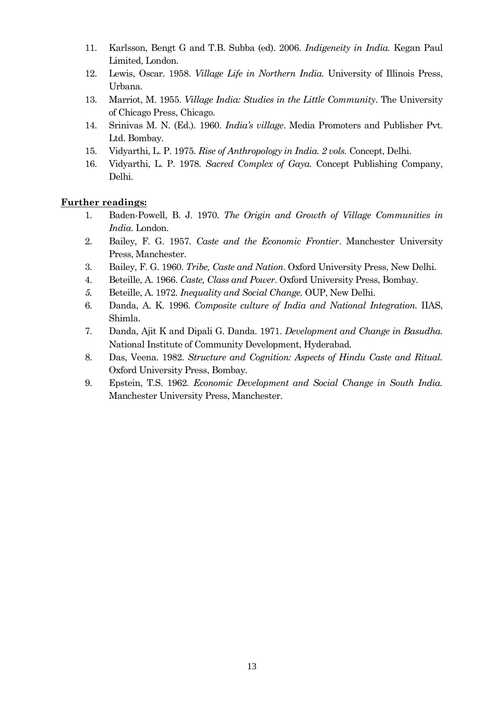- 11. Karlsson, Bengt G and T.B. Subba (ed). 2006. *Indigeneity in India.* Kegan Paul Limited, London.
- 12. Lewis, Oscar. 1958. *Village Life in Northern India.* University of Illinois Press, Urbana.
- 13. Marriot, M. 1955. *Village India: Studies in the Little Community*. The University of Chicago Press, Chicago.
- 14. Srinivas M. N. (Ed.). 1960. *India's village*. Media Promoters and Publisher Pvt. Ltd. Bombay.
- 15. Vidyarthi, L. P. 1975. *Rise of Anthropology in India. 2 vols.* Concept, Delhi.
- 16. Vidyarthi, L. P. 1978. *Sacred Complex of Gaya.* Concept Publishing Company, Delhi.

- 1. Baden-Powell, B. J. 1970. *The Origin and Growth of Village Communities in India*. London.
- 2. Bailey, F. G. 1957. *Caste and the Economic Frontier*. Manchester University Press, Manchester.
- 3. Bailey, F. G. 1960. *Tribe, Caste and Nation*. Oxford University Press, New Delhi.
- 4. Beteille, A. 1966. *Caste, Class and Power*. Oxford University Press, Bombay.
- *5.* Beteille, A. 1972. *Inequality and Social Change.* OUP, New Delhi.
- 6. Danda, A. K. 1996. *Composite culture of India and National Integration.* IIAS, Shimla.
- 7. Danda, Ajit K and Dipali G. Danda. 1971. *Development and Change in Basudha.*  National Institute of Community Development, Hyderabad.
- 8. Das, Veena. 1982. *Structure and Cognition: Aspects of Hindu Caste and Ritual.*  Oxford University Press, Bombay.
- 9. Epstein, T.S. 1962. *Economic Development and Social Change in South India.*  Manchester University Press, Manchester.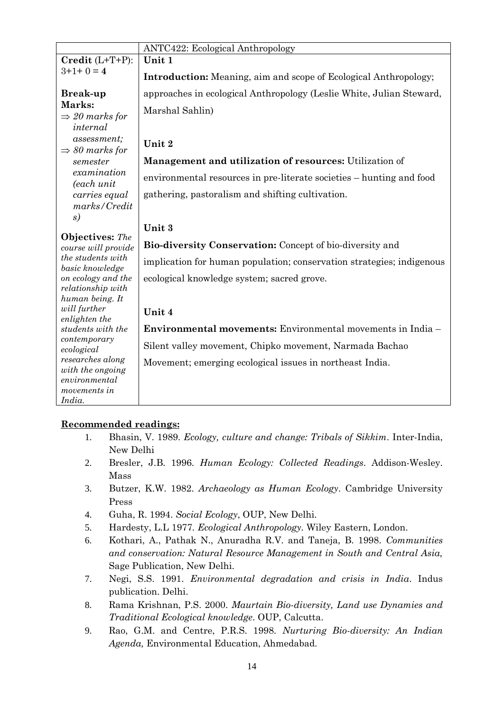|                                                  | ANTC422: Ecological Anthropology                                        |
|--------------------------------------------------|-------------------------------------------------------------------------|
| $\textbf{Credit} (\text{L+T+P})$ :               | Unit 1                                                                  |
| $3+1+0=4$                                        | <b>Introduction:</b> Meaning, aim and scope of Ecological Anthropology; |
| <b>Break-up</b>                                  | approaches in ecological Anthropology (Leslie White, Julian Steward,    |
| Marks:<br>$\Rightarrow$ 20 marks for<br>internal | Marshal Sahlin)                                                         |
| assessment;<br>$\Rightarrow$ 80 marks for        | Unit 2                                                                  |
| semester                                         | Management and utilization of resources: Utilization of                 |
| examination<br>(each unit                        | environmental resources in pre-literate societies – hunting and food    |
| carries equal<br>marks/Credit                    | gathering, pastoralism and shifting cultivation.                        |
| s)                                               |                                                                         |
|                                                  | Unit 3                                                                  |
| <b>Objectives:</b> The<br>course will provide    | <b>Bio-diversity Conservation:</b> Concept of bio-diversity and         |
| the students with<br>basic knowledge             | implication for human population; conservation strategies; indigenous   |
| on ecology and the<br>relationship with          | ecological knowledge system; sacred grove.                              |
| human being. It                                  |                                                                         |
| will further<br>enlighten the                    | Unit 4                                                                  |
| students with the                                | Environmental movements: Environmental movements in India -             |
| contemporary<br>ecological                       | Silent valley movement, Chipko movement, Narmada Bachao                 |
| researches along<br>with the ongoing             | Movement; emerging ecological issues in northeast India.                |
| environmental                                    |                                                                         |
| movements in<br>India.                           |                                                                         |

- 1. Bhasin, V. 1989. *Ecology, culture and change: Tribals of Sikkim*. Inter-India, New Delhi
- 2. Bresler, J.B. 1996. *Human Ecology: Collected Readings*. Addison-Wesley. Mass
- 3. [Butzer,](http://www.flipkart.com/author/karl-w-butzer) K.W. 1982. *Archaeology as Human Ecology*. Cambridge University Press
- 4. Guha, R. 1994. *Social Ecology*, OUP, New Delhi.
- 5. Hardesty, L.L 1977. *Ecological Anthropology.* Wiley Eastern, London.
- 6. Kothari, A., Pathak N., Anuradha R.V. and Taneja, B. 1998. *Communities and conservation: Natural Resource Management in South and Central Asia,*  Sage Publication, New Delhi.
- 7. Negi, S.S. 1991. *Environmental degradation and crisis in India*. Indus publication. Delhi.
- 8. Rama Krishnan, P.S. 2000. *Maurtain Bio-diversity, Land use Dynamies and Traditional Ecological knowledge*. OUP, Calcutta.
- 9. Rao, G.M. and Centre, P.R.S. 1998. *Nurturing Bio-diversity: An Indian Agenda,* Environmental Education, Ahmedabad.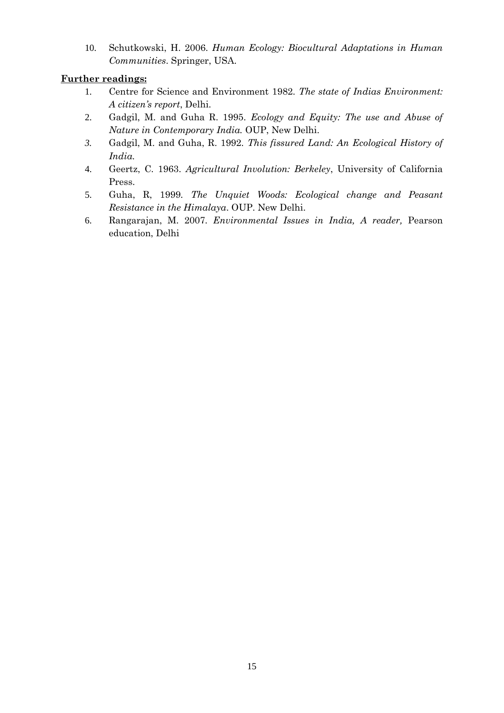10. Schutkowski, H. 2006. *Human Ecology: Biocultural Adaptations in Human Communities*. Springer, USA.

- 1. Centre for Science and Environment 1982. *The state of Indias Environment: A citizen's report*, Delhi.
- 2. Gadgil, M. and Guha R. 1995. *Ecology and Equity: The use and Abuse of Nature in Contemporary India.* OUP, New Delhi.
- *3.* Gadgil, M. and Guha, R. 1992. *This fissured Land: An Ecological History of India.*
- 4. Geertz, C. 1963. *Agricultural Involution: Berkeley*, University of California Press.
- 5. Guha, R, 1999. *The Unquiet Woods: Ecological change and Peasant Resistance in the Himalaya*. OUP. New Delhi.
- 6. Rangarajan, M. 2007. *Environmental Issues in India, A reader,* Pearson education, Delhi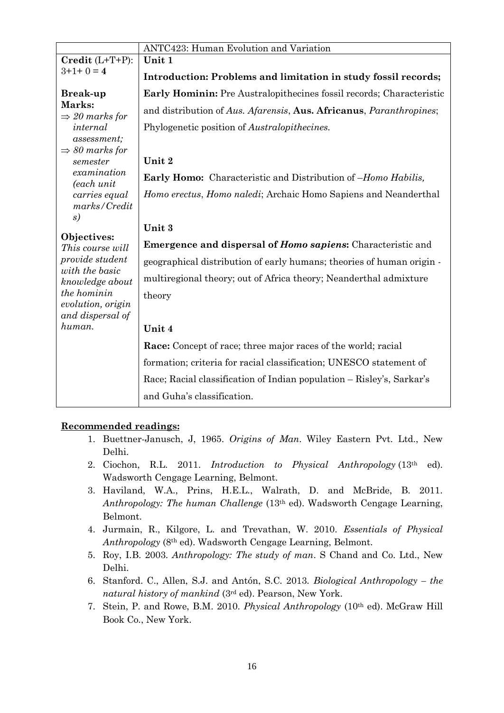|                                        | ANTC423: Human Evolution and Variation                                |
|----------------------------------------|-----------------------------------------------------------------------|
| $\textbf{Credit} (\text{L+T+P})$ :     | Unit 1                                                                |
| $3+1+0=4$                              | Introduction: Problems and limitation in study fossil records;        |
| <b>Break-up</b>                        | Early Hominin: Pre Australopithecines fossil records; Characteristic  |
| Marks:<br>$\Rightarrow$ 20 marks for   | and distribution of Aus. Afarensis, Aus. Africanus, Paranthropines;   |
| internal<br>assessment;                | Phylogenetic position of <i>Australopithecines</i> .                  |
| $\Rightarrow$ 80 marks for<br>semester | Unit 2                                                                |
| examination                            |                                                                       |
| (each unit                             | <b>Early Homo:</b> Characteristic and Distribution of -Homo Habilis,  |
| carries equal<br>marks/Credit          | Homo erectus, Homo naledi; Archaic Homo Sapiens and Neanderthal       |
| s)                                     |                                                                       |
| Objectives:                            | Unit 3                                                                |
| This course will                       | <b>Emergence and dispersal of Homo sapiens:</b> Characteristic and    |
| provide student<br>with the basic      | geographical distribution of early humans; theories of human origin - |
| knowledge about                        | multiregional theory; out of Africa theory; Neanderthal admixture     |
| the hominin                            | theory                                                                |
| evolution, origin<br>and dispersal of  |                                                                       |
| human.                                 | Unit 4                                                                |
|                                        | <b>Race:</b> Concept of race; three major races of the world; racial  |
|                                        | formation; criteria for racial classification; UNESCO statement of    |
|                                        | Race; Racial classification of Indian population – Risley's, Sarkar's |
|                                        | and Guha's classification.                                            |

- 1. Buettner-Janusch, J, 1965. *Origins of Man*. Wiley Eastern Pvt. Ltd., New Delhi.
- 2. Ciochon, R.L. 2011. *Introduction to Physical Anthropology* (13th ed). Wadsworth Cengage Learning, Belmont.
- 3. Haviland, W.A., Prins, H.E.L., Walrath, D. and McBride, B. 2011. *Anthropology: The human Challenge* (13th ed). Wadsworth Cengage Learning, Belmont.
- 4. Jurmain, R., Kilgore, L. and Trevathan, W. 2010. *Essentials of Physical Anthropology* (8th ed). Wadsworth Cengage Learning, Belmont.
- 5. Roy, I.B. 2003. *Anthropology: The study of man*. S Chand and Co. Ltd., New Delhi.
- 6. Stanford. C., Allen, S.J. and Antón, S.C. 2013. *Biological Anthropology – the natural history of mankind* (3rd ed). Pearson, New York.
- 7. Stein, P. and Rowe, B.M. 2010. *Physical Anthropology* (10th ed). McGraw Hill Book Co., New York.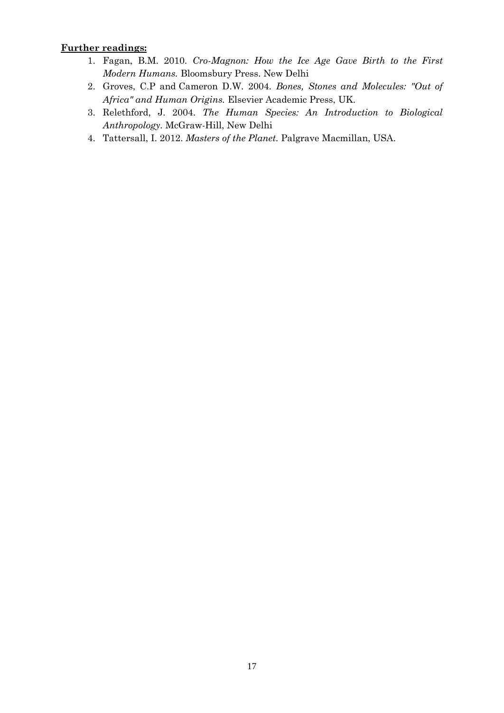- 1. Fagan, B.M. 2010. *Cro-Magnon: How the Ice Age Gave Birth to the First Modern Humans.* Bloomsbury Press. New Delhi
- 2. Groves, C.P and Cameron D.W. 2004. *Bones, Stones and Molecules: "Out of Africa" and Human Origins.* Elsevier Academic Press, UK.
- 3. Relethford, J. 2004. *The Human Species: An Introduction to Biological Anthropology.* McGraw-Hill, New Delhi
- 4. Tattersall, I. 2012. *Masters of the Planet.* Palgrave Macmillan, USA.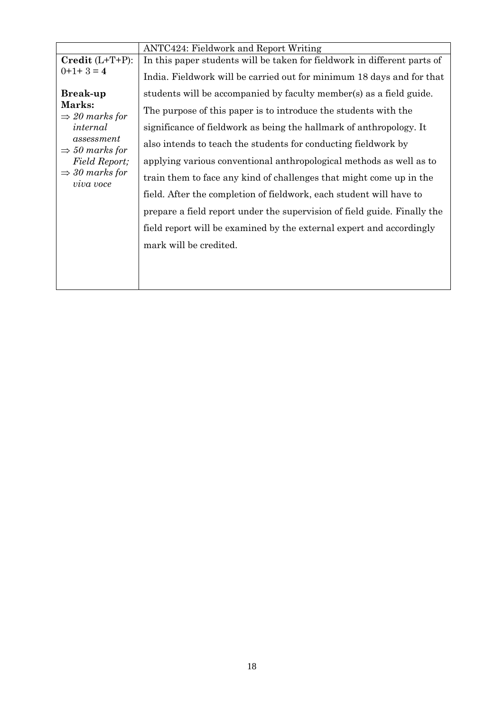|                                                | <b>ANTC424: Fieldwork and Report Writing</b>                             |
|------------------------------------------------|--------------------------------------------------------------------------|
| $\textbf{Credit} (\text{L+T+P})$ :             | In this paper students will be taken for fieldwork in different parts of |
| $0+1+3=4$                                      | India. Fieldwork will be carried out for minimum 18 days and for that    |
| <b>Break-up</b>                                | students will be accompanied by faculty member(s) as a field guide.      |
| Marks:<br>$\Rightarrow$ 20 marks for           | The purpose of this paper is to introduce the students with the          |
| internal                                       | significance of fieldwork as being the hallmark of anthropology. It      |
| assessment<br>$\Rightarrow$ 50 marks for       | also intends to teach the students for conducting fieldwork by           |
| Field Report;                                  | applying various conventional anthropological methods as well as to      |
| $\Rightarrow$ 30 marks for<br><i>viva</i> voce | train them to face any kind of challenges that might come up in the      |
|                                                | field. After the completion of fieldwork, each student will have to      |
|                                                | prepare a field report under the supervision of field guide. Finally the |
|                                                | field report will be examined by the external expert and accordingly     |
|                                                | mark will be credited.                                                   |
|                                                |                                                                          |
|                                                |                                                                          |
|                                                |                                                                          |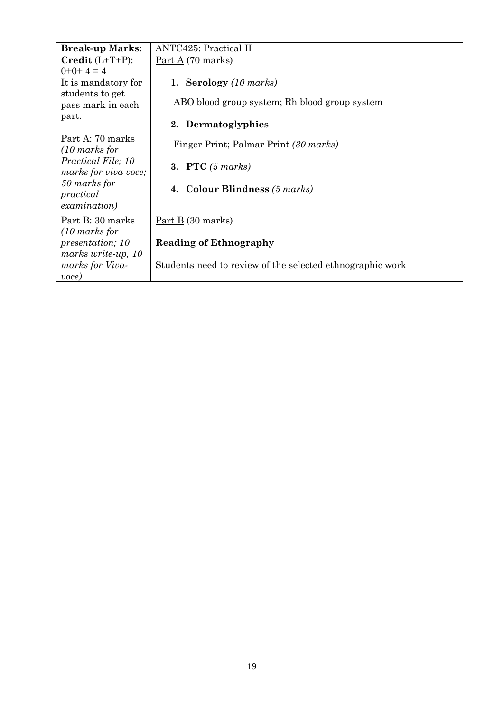| <b>Break-up Marks:</b>                       | <b>ANTC425: Practical II</b>                              |
|----------------------------------------------|-----------------------------------------------------------|
| $\textbf{Credit} (\text{L+T+P})$ :           | $Part A (70 marks)$                                       |
| $0+0+4=4$                                    |                                                           |
| It is mandatory for                          | 1. Serology $(10 \text{ marks})$                          |
| students to get<br>pass mark in each         | ABO blood group system; Rh blood group system             |
| part.                                        | 2. Dermatoglyphics                                        |
| Part A: 70 marks<br>$(10 \text{ marks for})$ | Finger Print; Palmar Print (30 marks)                     |
| Practical File; 10<br>marks for viva voce;   | 3. PTC $(5 \text{ marks})$                                |
| 50 marks for<br>practical                    | 4. Colour Blindness (5 marks)                             |
| examination)                                 |                                                           |
| Part B: 30 marks                             | Part B (30 marks)                                         |
| $(10 \text{ marks for})$                     |                                                           |
| presentation; 10                             | <b>Reading of Ethnography</b>                             |
| marks write-up, $10$                         |                                                           |
| marks for Viva-                              | Students need to review of the selected ethnographic work |
| voce)                                        |                                                           |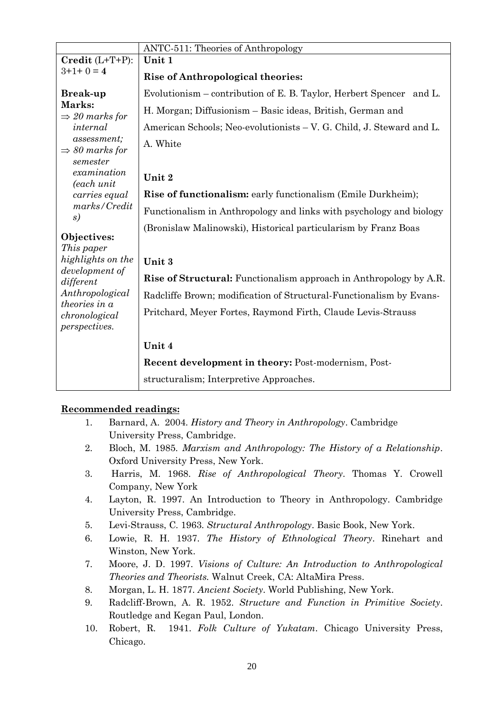|                                                        | ANTC-511: Theories of Anthropology                                                                                                 |
|--------------------------------------------------------|------------------------------------------------------------------------------------------------------------------------------------|
| $\textbf{Credit} (\text{L+T+P})$ :                     | Unit 1                                                                                                                             |
| $3+1+0=4$                                              | Rise of Anthropological theories:                                                                                                  |
| <b>Break-up</b><br>Marks:                              | Evolutionism – contribution of E. B. Taylor, Herbert Spencer and L.                                                                |
| $\Rightarrow$ 20 marks for<br>internal                 | H. Morgan; Diffusionism – Basic ideas, British, German and<br>American Schools; Neo-evolutionists – V. G. Child, J. Steward and L. |
| assessment;<br>$\Rightarrow$ 80 marks for              | A. White                                                                                                                           |
| semester<br>examination<br>(each unit                  | Unit 2                                                                                                                             |
| carries equal                                          | <b>Rise of functionalism:</b> early functionalism (Emile Durkheim);                                                                |
| marks/Credit<br>s)                                     | Functionalism in Anthropology and links with psychology and biology                                                                |
|                                                        | (Bronislaw Malinowski), Historical particularism by Franz Boas                                                                     |
| Objectives:<br>This paper                              |                                                                                                                                    |
| highlights on the<br>development of                    | Unit 3                                                                                                                             |
| different                                              | <b>Rise of Structural:</b> Functionalism approach in Anthropology by A.R.                                                          |
| Anthropological                                        | Radcliffe Brown; modification of Structural-Functionalism by Evans-                                                                |
| theories in a<br>chronological<br><i>perspectives.</i> | Pritchard, Meyer Fortes, Raymond Firth, Claude Levis-Strauss                                                                       |
|                                                        | Unit 4                                                                                                                             |
|                                                        | Recent development in theory: Post-modernism, Post-                                                                                |
|                                                        | structuralism; Interpretive Approaches.                                                                                            |

- 1. Barnard, A. 2004. *History and Theory in Anthropology*. Cambridge University Press, Cambridge.
- 2. Bloch, M. 1985. *Marxism and Anthropology: The History of a Relationship*. Oxford University Press, New York.
- 3. Harris, M. 1968. *Rise of Anthropological Theory*. Thomas Y. Crowell Company, New York
- 4. Layton, R. 1997. An Introduction to Theory in Anthropology. Cambridge University Press, Cambridge.
- 5. Levi-Strauss, C. 1963. *Structural Anthropology*. Basic Book, New York.
- 6. Lowie, R. H. 1937. *The History of Ethnological Theory*. Rinehart and Winston, New York.
- 7. Moore, J. D. 1997. *Visions of Culture: An Introduction to Anthropological Theories and Theorists.* Walnut Creek, CA: AltaMira Press.
- 8. Morgan, L. H. 1877. *Ancient Society*. World Publishing, New York.
- 9. Radcliff-Brown, A. R. 1952. *Structure and Function in Primitive Society*. Routledge and Kegan Paul, London.
- 10. Robert, R. 1941. *Folk Culture of Yukatam*. Chicago University Press, Chicago.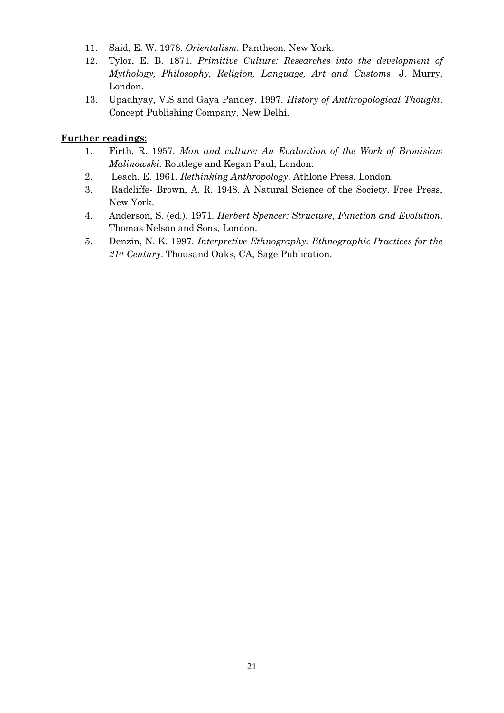- 11. Said, E. W. 1978. *Orientalism.* Pantheon, New York.
- 12. Tylor, E. B. 1871. *Primitive Culture: Researches into the development of Mythology, Philosophy, Religion, Language, Art and Customs*. J. Murry, London.
- 13. Upadhyay, V.S and Gaya Pandey. 1997. *History of Anthropological Thought*. Concept Publishing Company, New Delhi.

- 1. Firth, R. 1957. *Man and culture: An Evaluation of the Work of Bronislaw Malinowski*. Routlege and Kegan Paul, London.
- 2. Leach, E. 1961. *Rethinking Anthropology*. Athlone Press, London.
- 3. Radcliffe- Brown, A. R. 1948. A Natural Science of the Society. Free Press, New York.
- 4. Anderson, S. (ed.). 1971. *Herbert Spencer: Structure, Function and Evolution*. Thomas Nelson and Sons, London.
- 5. Denzin, N. K. 1997. *Interpretive Ethnography: Ethnographic Practices for the 21st Century*. Thousand Oaks, CA, Sage Publication.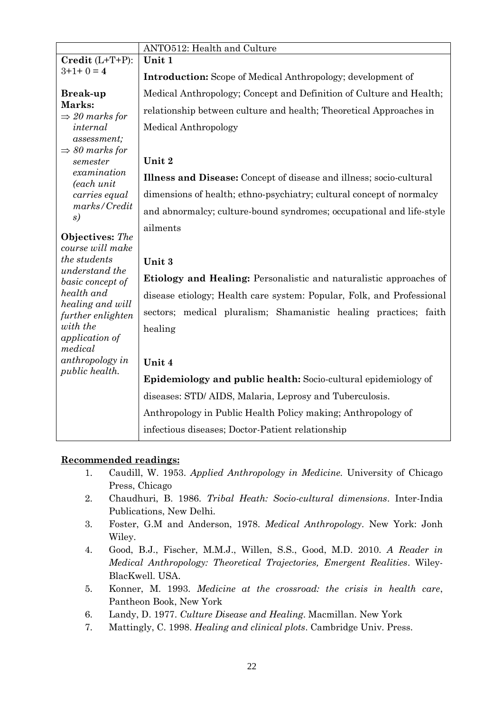|                                           | ANTO512: Health and Culture                                                |
|-------------------------------------------|----------------------------------------------------------------------------|
| $\textbf{Credit} (\text{L+T+P})$ :        | Unit 1                                                                     |
| $3+1+0=4$                                 | <b>Introduction:</b> Scope of Medical Anthropology; development of         |
| <b>Break-up</b>                           | Medical Anthropology; Concept and Definition of Culture and Health;        |
| Marks:<br>$\Rightarrow$ 20 marks for      | relationship between culture and health; Theoretical Approaches in         |
| internal                                  | Medical Anthropology                                                       |
| assessment;<br>$\Rightarrow$ 80 marks for |                                                                            |
| $\emph{semester}$                         | Unit 2                                                                     |
| examination<br>(each unit                 | <b>Illness and Disease:</b> Concept of disease and illness; socio-cultural |
| carries equal                             | dimensions of health; ethno-psychiatry; cultural concept of normalcy       |
| marks/Credit<br>s)                        | and abnormalcy; culture-bound syndromes; occupational and life-style       |
| <b>Objectives:</b> The                    | ailments                                                                   |
| course will make                          |                                                                            |
| the students<br>understand the            | Unit 3                                                                     |
| basic concept of                          | Etiology and Healing: Personalistic and naturalistic approaches of         |
| health and                                | disease etiology; Health care system: Popular, Folk, and Professional      |
| healing and will<br>further enlighten     | sectors; medical pluralism; Shamanistic healing practices; faith           |
| with the<br>application of                | healing                                                                    |
| medical                                   |                                                                            |
| anthropology in<br>public health.         | Unit 4                                                                     |
|                                           | Epidemiology and public health: Socio-cultural epidemiology of             |
|                                           | diseases: STD/ AIDS, Malaria, Leprosy and Tuberculosis.                    |
|                                           | Anthropology in Public Health Policy making; Anthropology of               |
|                                           | infectious diseases; Doctor-Patient relationship                           |

- 1. Caudill, W. 1953. *Applied Anthropology in Medicine.* University of Chicago Press, Chicago
- 2. Chaudhuri, B. 1986. *Tribal Heath: Socio-cultural dimensions*. Inter-India Publications, New Delhi.
- 3. Foster, G.M and Anderson, 1978. *Medical Anthropology*. New York: Jonh Wiley.
- 4. Good, B.J., Fischer, M.M.J., Willen, S.S., Good, M.D. 2010. *A Reader in Medical Anthropology: Theoretical Trajectories, Emergent Realities*. Wiley-BlacKwell. USA.
- 5. Konner, M. 1993. *Medicine at the crossroad: the crisis in health care*, Pantheon Book, New York
- 6. Landy, D. 1977. *Culture Disease and Healing*. Macmillan. New York
- 7. Mattingly, C. 1998. *Healing and clinical plots*. Cambridge Univ. Press.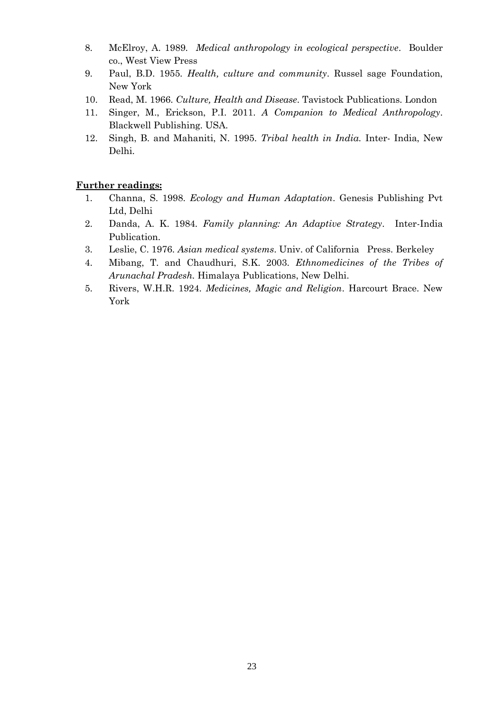- 8. McElroy, A. 1989. *Medical anthropology in ecological perspective*. Boulder co., West View Press
- 9. Paul, B.D. 1955*. Health, culture and community*. Russel sage Foundation, New York
- 10. Read, M. 1966. *Culture, Health and Disease*. Tavistock Publications. London
- 11. Singer, M., Erickson, P.I. 2011. *A Companion to Medical Anthropology*. Blackwell Publishing. USA.
- 12. Singh, B. and Mahaniti, N. 1995. *Tribal health in India.* Inter- India, New Delhi.

- 1. [Channa,](http://www.google.co.in/search?tbo=p&tbm=bks&q=inauthor:%22Subhadra+Channa%22) S. 1998. *Ecology and Human Adaptation*. Genesis Publishing Pvt Ltd, Delhi
- 2. Danda, A. K. 1984*. Family planning: An Adaptive Strategy*. Inter-India Publication.
- 3. Leslie, C. 1976. *Asian medical systems*. Univ. of California Press. Berkeley
- 4. Mibang, T. and Chaudhuri, S.K. 2003. *Ethnomedicines of the Tribes of Arunachal Pradesh.* Himalaya Publications, New Delhi.
- 5. Rivers, W.H.R. 1924. *Medicines, Magic and Religion*. Harcourt Brace. New York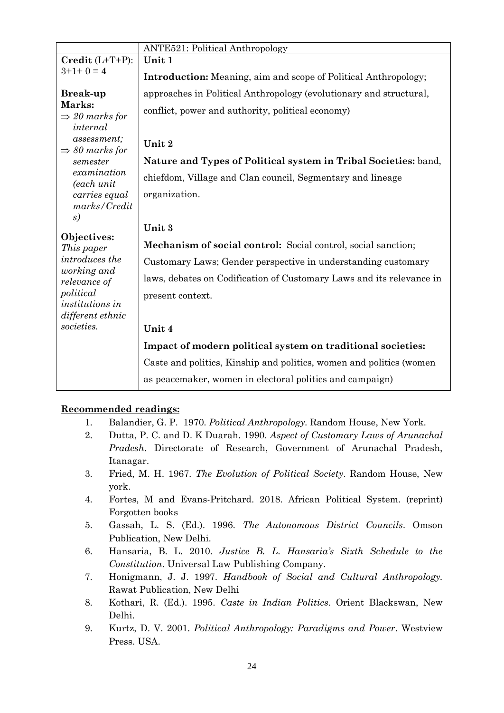|                             | <b>ANTE521: Political Anthropology</b>                                 |
|-----------------------------|------------------------------------------------------------------------|
| Credit (L+T+P):             | Unit 1                                                                 |
| $3+1+0=4$                   | <b>Introduction:</b> Meaning, aim and scope of Political Anthropology; |
| <b>Break-up</b>             | approaches in Political Anthropology (evolutionary and structural,     |
| Marks:                      |                                                                        |
| $\Rightarrow$ 20 marks for  | conflict, power and authority, political economy)                      |
| internal                    |                                                                        |
| assessment;                 | Unit 2                                                                 |
| $\Rightarrow$ 80 marks for  |                                                                        |
| semester                    | Nature and Types of Political system in Tribal Societies: band,        |
| examination                 | chiefdom, Village and Clan council, Segmentary and lineage             |
| (each unit                  |                                                                        |
| carries equal               | organization.                                                          |
| marks/Credit                |                                                                        |
| s)                          |                                                                        |
|                             | Unit 3                                                                 |
| Objectives:<br>This paper   | Mechanism of social control: Social control, social sanction;          |
| introduces the              | Customary Laws; Gender perspective in understanding customary          |
| working and<br>relevance of | laws, debates on Codification of Customary Laws and its relevance in   |
| political                   | present context.                                                       |
| institutions in             |                                                                        |
| different ethnic            |                                                                        |
| societies.                  | Unit 4                                                                 |
|                             | Impact of modern political system on traditional societies:            |
|                             | Caste and politics, Kinship and politics, women and politics (women    |
|                             | as peacemaker, women in electoral politics and campaign)               |

- 1. Balandier, G. P. 1970. *Political Anthropology.* Random House, New York.
- 2. Dutta, P. C. and D. K Duarah. 1990. *Aspect of Customary Laws of Arunachal Pradesh*. Directorate of Research, Government of Arunachal Pradesh, Itanagar.
- 3. Fried, M. H. 1967. *The Evolution of Political Society*. Random House, New york.
- 4. Fortes, M and Evans-Pritchard. 2018. African Political System. (reprint) Forgotten books
- 5. Gassah, L. S. (Ed.). 1996. *The Autonomous District Councils*. Omson Publication, New Delhi.
- 6. Hansaria, B. L. 2010. *Justice B. L. Hansaria's Sixth Schedule to the Constitution*. Universal Law Publishing Company.
- 7. Honigmann, J. J. 1997. *Handbook of Social and Cultural Anthropology.* Rawat Publication, New Delhi
- 8. Kothari, R. (Ed.). 1995. *Caste in Indian Politics*. Orient Blackswan, New Delhi.
- 9. Kurtz, D. V. 2001. *Political Anthropology: Paradigms and Power*. Westview Press. USA.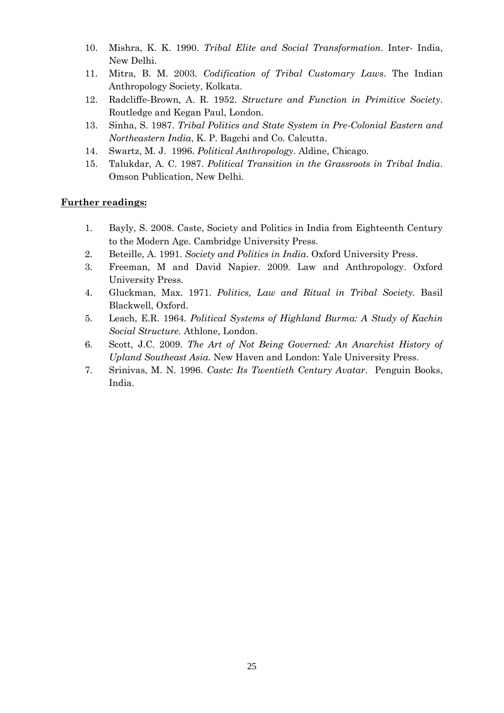- 10. Mishra, K. K. 1990. *Tribal Elite and Social Transformation*. Inter- India, New Delhi.
- 11. Mitra, B. M. 2003. *Codification of Tribal Customary Laws*. The Indian Anthropology Society, Kolkata.
- 12. Radcliffe-Brown, A. R. 1952. *Structure and Function in Primitive Society*. Routledge and Kegan Paul, London.
- 13. Sinha, S. 1987. *Tribal Politics and State System in Pre-Colonial Eastern and Northeastern India*, K. P. Bagchi and Co. Calcutta.
- 14. Swartz, M. J. 1996. *Political Anthropology*. Aldine, Chicago.
- 15. Talukdar, A. C. 1987. *Political Transition in the Grassroots in Tribal India*. Omson Publication, New Delhi.

- 1. Bayly, S. 2008. Caste, Society and Politics in India from Eighteenth Century to the Modern Age. Cambridge University Press.
- 2. Beteille, A. 1991. *Society and Politics in India*. Oxford University Press.
- 3. Freeman, M and David Napier. 2009. Law and Anthropology. Oxford University Press.
- 4. Gluckman, Max. 1971. *Politics, Law and Ritual in Tribal Society.* Basil Blackwell, Oxford.
- 5. Leach, E.R. 1964. *Political Systems of Highland Burma: A Study of Kachin Social Structure.* Athlone, London.
- 6. Scott, J.C. 2009. *The Art of Not Being Governed: An Anarchist History of Upland Southeast Asia.* New Haven and London: Yale University Press.
- 7. Srinivas, M. N. 1996. *Caste: Its Twentieth Century Avatar*. Penguin Books, India.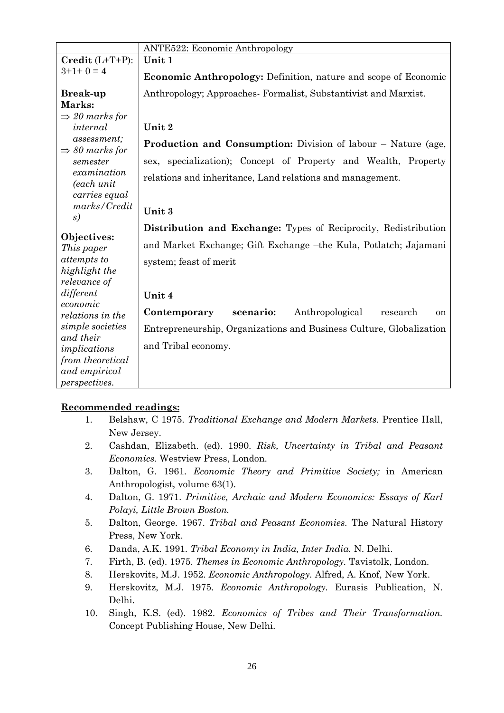|                                        | <b>ANTE522: Economic Anthropology</b>                                     |
|----------------------------------------|---------------------------------------------------------------------------|
| $Credit (L+T+P):$                      | Unit 1                                                                    |
| $3+1+0=4$                              | <b>Economic Anthropology:</b> Definition, nature and scope of Economic    |
| <b>Break-up</b>                        | Anthropology; Approaches-Formalist, Substantivist and Marxist.            |
| Marks:                                 |                                                                           |
| $\Rightarrow$ 20 marks for<br>internal | Unit 2                                                                    |
| assessment;                            |                                                                           |
| $\Rightarrow$ 80 marks for             | <b>Production and Consumption:</b> Division of labour - Nature (age,      |
| semester                               | sex, specialization); Concept of Property and Wealth, Property            |
| examination                            | relations and inheritance, Land relations and management.                 |
| (each unit                             |                                                                           |
| carries equal<br>marks/Credit          |                                                                           |
| s)                                     | Unit 3                                                                    |
|                                        | <b>Distribution and Exchange:</b> Types of Reciprocity, Redistribution    |
| Objectives:                            | and Market Exchange; Gift Exchange - the Kula, Potlatch; Jajamani         |
| This paper                             |                                                                           |
| attempts to<br>highlight the           | system; feast of merit                                                    |
| relevance of                           |                                                                           |
| different                              | Unit 4                                                                    |
| economic                               |                                                                           |
| relations in the                       | Anthropological<br>Contemporary<br>scenario:<br>research<br><sub>on</sub> |
| simple societies                       | Entrepreneurship, Organizations and Business Culture, Globalization       |
| and their<br>implications              | and Tribal economy.                                                       |
| from theoretical                       |                                                                           |
| and empirical                          |                                                                           |
| <i>perspectives.</i>                   |                                                                           |

- 1. Belshaw, C 1975. *Traditional Exchange and Modern Markets.* Prentice Hall, New Jersey.
- 2. Cashdan, Elizabeth. (ed). 1990. *Risk, Uncertainty in Tribal and Peasant Economics.* Westview Press, London.
- 3. Dalton, G. 1961. *Economic Theory and Primitive Society;* in American Anthropologist, volume 63(1).
- 4. Dalton, G. 1971. *Primitive, Archaic and Modern Economics: Essays of Karl Polayi, Little Brown Boston.*
- 5. Dalton, George. 1967. *Tribal and Peasant Economies.* The Natural History Press, New York.
- 6. Danda, A.K. 1991. *Tribal Economy in India, Inter India.* N. Delhi.
- 7. Firth, B. (ed). 1975. *Themes in Economic Anthropology.* Tavistolk, London.
- 8. Herskovits, M.J. 1952. *Economic Anthropology.* Alfred, A. Knof, New York.
- 9. Herskovitz, M.J. 1975. *Economic Anthropology.* Eurasis Publication, N. Delhi.
- 10. Singh, K.S. (ed). 1982. *Economics of Tribes and Their Transformation.* Concept Publishing House, New Delhi.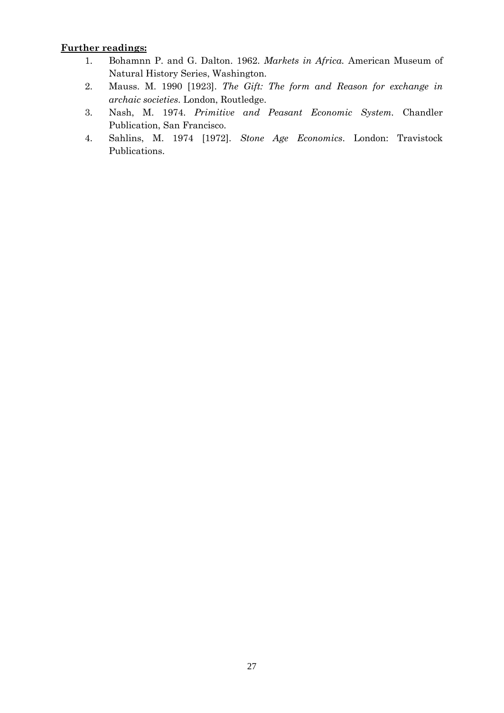- 1. Bohamnn P. and G. Dalton. 1962. *Markets in Africa.* American Museum of Natural History Series, Washington.
- 2. Mauss. M. 1990 [1923]. *The Gift: The form and Reason for exchange in archaic societies*. London, Routledge.
- 3. Nash, M. 1974. *Primitive and Peasant Economic System.* Chandler Publication, San Francisco.
- 4. Sahlins, M. 1974 [1972]. *Stone Age Economics*. London: Travistock Publications.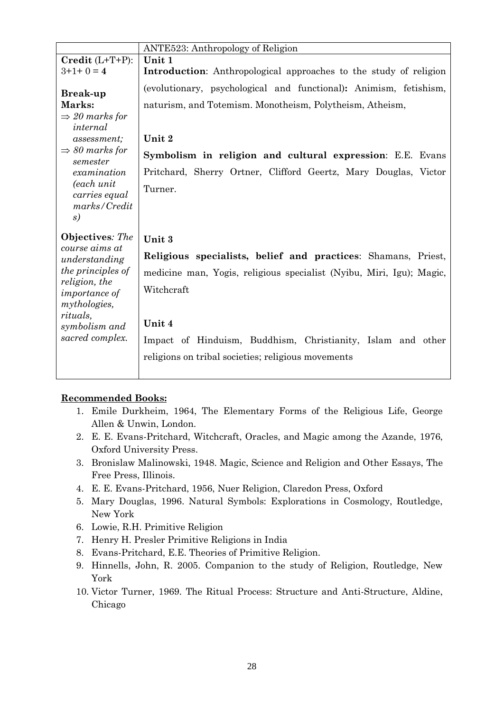|                                                                                                                                                                                                           | ANTE523: Anthropology of Religion                                                                                                                                                                                                                                                            |
|-----------------------------------------------------------------------------------------------------------------------------------------------------------------------------------------------------------|----------------------------------------------------------------------------------------------------------------------------------------------------------------------------------------------------------------------------------------------------------------------------------------------|
| $Credit(L+T+P)$ :                                                                                                                                                                                         | Unit 1                                                                                                                                                                                                                                                                                       |
| $3+1+0=4$                                                                                                                                                                                                 | Introduction: Anthropological approaches to the study of religion                                                                                                                                                                                                                            |
| <b>Break-up</b><br>Marks:<br>$\Rightarrow$ 20 marks for<br>internal<br><i>assessment</i> ;<br>$\Rightarrow$ 80 marks for<br>semester<br>examination<br>(each unit)<br>carries equal<br>marks/Credit<br>s) | (evolutionary, psychological and functional): Animism, fetishism,<br>naturism, and Totemism. Monotheism, Polytheism, Atheism,<br>Unit 2<br>Symbolism in religion and cultural expression: E.E. Evans<br>Pritchard, Sherry Ortner, Clifford Geertz, Mary Douglas, Victor<br>Turner.           |
| <b>Objectives:</b> The<br>course aims at<br>understanding<br><i>the principles of</i><br>religion, the<br><i>importance</i> of<br><i>mythologies,</i><br>rituals,<br>symbolism and<br>sacred complex.     | Unit 3<br>Religious specialists, belief and practices: Shamans, Priest,<br>medicine man, Yogis, religious specialist (Nyibu, Miri, Igu); Magic,<br>Witchcraft<br>Unit 4<br>Impact of Hinduism, Buddhism, Christianity, Islam and other<br>religions on tribal societies; religious movements |

#### **Recommended Books:**

- 1. Emile Durkheim, 1964, The Elementary Forms of the Religious Life, George Allen & Unwin, London.
- 2. E. E. Evans-Pritchard, Witchcraft, Oracles, and Magic among the Azande, 1976, Oxford University Press.
- 3. Bronislaw Malinowski, 1948. Magic, Science and Religion and Other Essays, The Free Press, Illinois.
- 4. E. E. Evans-Pritchard, 1956, Nuer Religion, Claredon Press, Oxford
- 5. Mary Douglas, 1996. Natural Symbols: Explorations in Cosmology, Routledge, New York
- 6. Lowie, R.H. Primitive Religion
- 7. Henry H. Presler Primitive Religions in India
- 8. Evans-Pritchard, E.E. Theories of Primitive Religion.
- 9. Hinnells, John, R. 2005. Companion to the study of Religion, Routledge, New York
- 10. Victor Turner, 1969. The Ritual Process: Structure and Anti-Structure, Aldine, Chicago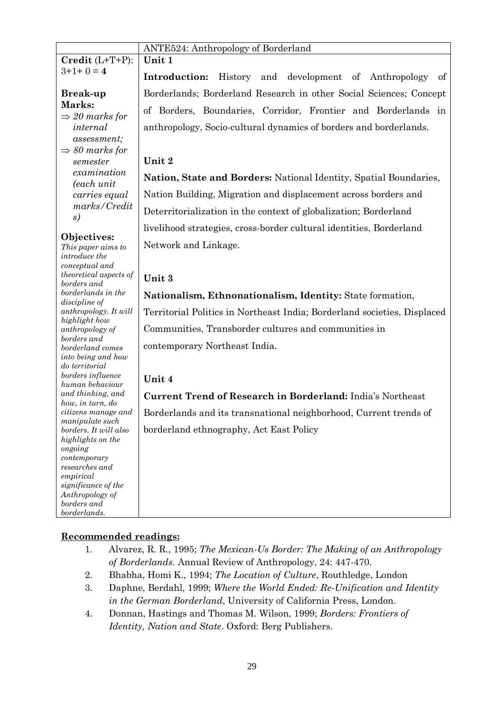|                                                                                               | ANTE524: Anthropology of Borderland                                                                                                |
|-----------------------------------------------------------------------------------------------|------------------------------------------------------------------------------------------------------------------------------------|
| $\textbf{Credit} (\text{L+T+P})$ :                                                            | Unit 1                                                                                                                             |
| $3+1+0=4$                                                                                     | Introduction:<br>History<br>and development of Anthropology<br>of                                                                  |
| <b>Break-up</b>                                                                               | Borderlands; Borderland Research in other Social Sciences; Concept                                                                 |
| Marks:<br>$\Rightarrow$ 20 marks for<br>internal<br>assessment;<br>$\Rightarrow$ 80 marks for | of Borders, Boundaries, Corridor, Frontier and Borderlands in<br>anthropology, Socio-cultural dynamics of borders and borderlands. |
| semester                                                                                      | Unit 2                                                                                                                             |
| examination<br>(each unit                                                                     | Nation, State and Borders: National Identity, Spatial Boundaries,                                                                  |
| carries equal                                                                                 | Nation Building, Migration and displacement across borders and                                                                     |
| marks/Credit<br>s)                                                                            | Deterritorialization in the context of globalization; Borderland                                                                   |
| Objectives:                                                                                   | livelihood strategies, cross-border cultural identities, Borderland                                                                |
| This paper aims to<br>introduce the<br>conceptual and                                         | Network and Linkage.                                                                                                               |
| <i>theoretical aspects of</i><br>borders and                                                  | Unit 3                                                                                                                             |
| borderlands in the<br>discipline of                                                           | Nationalism, Ethnonationalism, Identity: State formation,                                                                          |
| anthropology. It will                                                                         | Territorial Politics in Northeast India; Borderland societies, Displaced                                                           |
| highlight how<br>anthropology of                                                              | Communities, Transborder cultures and communities in                                                                               |
| borders and<br>borderland comes<br>into being and how                                         | contemporary Northeast India.                                                                                                      |
| do territorial<br>borders influence<br>human behaviour                                        | Unit 4                                                                                                                             |
| and thinking, and                                                                             | <b>Current Trend of Research in Borderland:</b> India's Northeast                                                                  |
| how, in turn, do<br>citizens manage and<br>manipulate such                                    | Borderlands and its transnational neighborhood, Current trends of                                                                  |
| borders. It will also<br>highlights on the<br>ongoing                                         | borderland ethnography, Act East Policy                                                                                            |
| contemporary                                                                                  |                                                                                                                                    |
| researches and<br>empirical                                                                   |                                                                                                                                    |
| significance of the                                                                           |                                                                                                                                    |
| Anthropology of<br>borders and                                                                |                                                                                                                                    |
| borderlands.                                                                                  |                                                                                                                                    |
|                                                                                               |                                                                                                                                    |

- 1. Alvarez, R. R., 1995; *The Mexican-Us Border: The Making of an Anthropology of Borderlands*. Annual Review of Anthropology, 24: 447-470.
- 2. Bhabha, Homi K., 1994; *The Location of Culture*, Routhledge, London
- 3. Daphne, Berdahl, 1999; *Where the World Ended: Re-Unification and Identity in the German Borderland*, University of California Press, London.
- 4. Donnan, Hastings and Thomas M. Wilson, 1999; *Borders: Frontiers of Identity, Nation and State*. Oxford: Berg Publishers.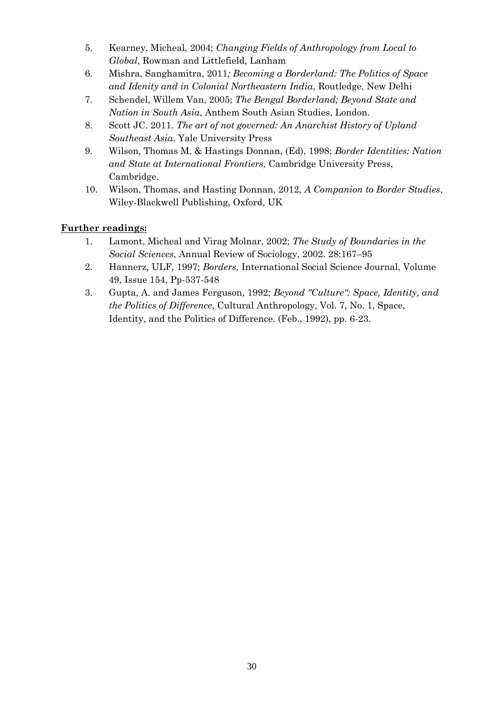- 5. Kearney, Micheal, 2004; *Changing Fields of Anthropology from Local to Global*, Rowman and Littlefield, Lanham
- 6. Mishra, Sanghamitra, 2011*; Becoming a Borderland: The Politics of Space and Idenity and in Colonial Northeastern India*, Routledge, New Delhi
- 7. Schendel, Willem Van, 2005; *The Bengal Borderland; Beyond State and Nation in South Asia*, Anthem South Asian Studies, London.
- 8. Scott JC. 2011. *The art of not governed: An Anarchist History of Upland Southeast Asia*. Yale University Press
- 9. Wilson, Thomas M. & Hastings Donnan, (Ed), 1998; *Border Identities: Nation and State at International Frontiers,* Cambridge University Press, Cambridge.
- 10. Wilson, Thomas, and Hasting Donnan, 2012, *A Companion to Border Studies*, Wiley-Blackwell Publishing, Oxford, UK

- 1. Lamont, Micheal and Virag Molnar, 2002; *The Study of Boundaries in the Social Sciences*, Annual Review of Sociology, 2002. 28:167–95
- 2. Hannerz, ULF, 1997; *Borders,* International Social Science Journal, Volume 49, Issue 154, Pp-537-548
- 3. Gupta, A. and James Ferguson, 1992; *Beyond "Culture": Space, Identity, and the Politics of Difference*, Cultural Anthropology, Vol. 7, No. 1, Space, Identity, and the Politics of Difference. (Feb., 1992), pp. 6-23.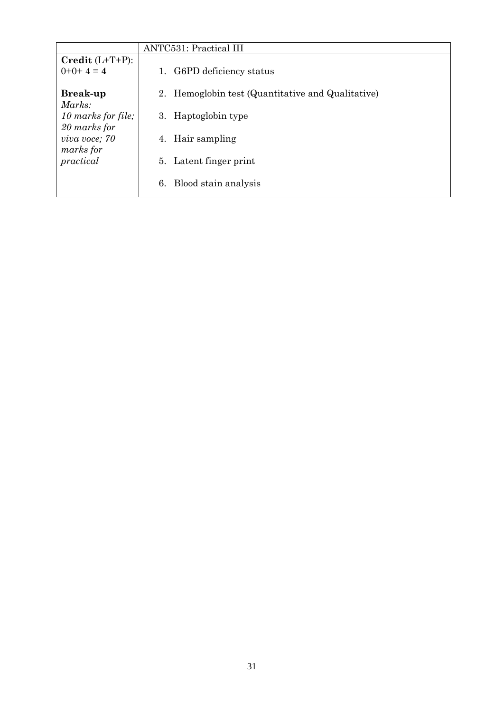|                                    | ANTC531: Practical III                            |
|------------------------------------|---------------------------------------------------|
| $\bf Credit (L+T+P):$<br>$0+0+4=4$ | G6PD deficiency status                            |
| <b>Break-up</b><br>Marks:          | 2. Hemoglobin test (Quantitative and Qualitative) |
| 10 marks for file;<br>20 marks for | Haptoglobin type<br>3.                            |
| viva voce; 70<br>marks for         | 4. Hair sampling                                  |
| practical                          | 5. Latent finger print                            |
|                                    | Blood stain analysis<br>6.                        |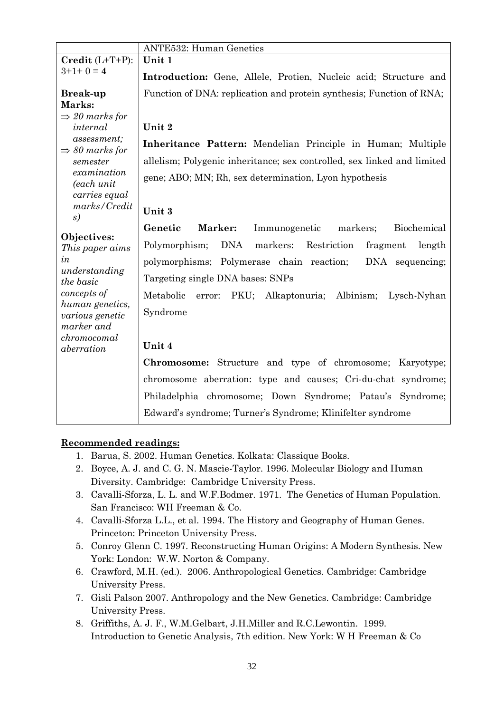|                                           | <b>ANTE532: Human Genetics</b>                                          |
|-------------------------------------------|-------------------------------------------------------------------------|
| $Credit (L+T+P):$                         | Unit 1                                                                  |
| $3+1+0=4$                                 | Introduction: Gene, Allele, Protien, Nucleic acid; Structure and        |
| <b>Break-up</b>                           | Function of DNA: replication and protein synthesis; Function of RNA;    |
| Marks:                                    |                                                                         |
| $\Rightarrow$ 20 marks for                |                                                                         |
| internal                                  | Unit 2                                                                  |
| assessment;<br>$\Rightarrow$ 80 marks for | Inheritance Pattern: Mendelian Principle in Human; Multiple             |
| semester                                  | allelism; Polygenic inheritance; sex controlled, sex linked and limited |
| examination<br>(each unit                 | gene; ABO; MN; Rh, sex determination, Lyon hypothesis                   |
| carries equal                             |                                                                         |
| marks/Credit<br>s)                        | Unit 3                                                                  |
|                                           | Genetic<br>Marker:<br>Biochemical<br>Immunogenetic<br>markers;          |
| Objectives:<br>This paper aims            | Polymorphism; DNA<br>markers:<br>Restriction<br>fragment<br>length      |
| in                                        | polymorphisms; Polymerase chain reaction;<br>DNA sequencing;            |
| understanding<br>the basic                | Targeting single DNA bases: SNPs                                        |
| concepts of<br>human genetics,            | Metabolic<br>error: PKU; Alkaptonuria; Albinism; Lysch-Nyhan            |
| <i>various</i> genetic                    | Syndrome                                                                |
| marker and                                |                                                                         |
| chromocomal<br>aberration                 | Unit 4                                                                  |
|                                           | Chromosome: Structure and type of chromosome; Karyotype;                |
|                                           | chromosome aberration: type and causes; Cri-du-chat syndrome;           |
|                                           | Philadelphia chromosome; Down Syndrome; Patau's Syndrome;               |
|                                           | Edward's syndrome; Turner's Syndrome; Klinifelter syndrome              |

- 1. Barua, S. 2002. Human Genetics. Kolkata: Classique Books.
- 2. Boyce, A. J. and C. G. N. Mascie-Taylor. 1996. Molecular Biology and Human Diversity. Cambridge: Cambridge University Press.
- 3. Cavalli-Sforza, L. L. and W.F.Bodmer. 1971. The Genetics of Human Population. San Francisco: WH Freeman & Co.
- 4. Cavalli-Sforza L.L., et al. 1994. The History and Geography of Human Genes. Princeton: Princeton University Press.
- 5. Conroy Glenn C. 1997. Reconstructing Human Origins: A Modern Synthesis. New York: London: W.W. Norton & Company.
- 6. Crawford, M.H. (ed.). 2006. Anthropological Genetics. Cambridge: Cambridge University Press.
- 7. Gisli Palson 2007. Anthropology and the New Genetics. Cambridge: Cambridge University Press.
- 8. Griffiths, A. J. F., W.M.Gelbart, J.H.Miller and R.C.Lewontin. 1999. Introduction to Genetic Analysis, 7th edition. New York: W H Freeman & Co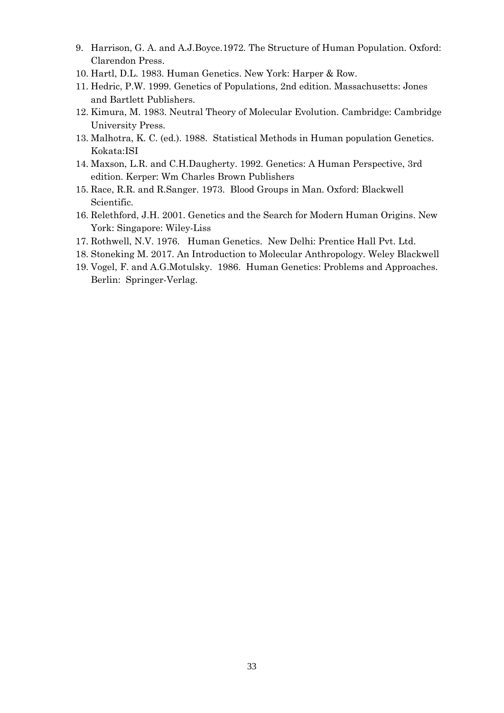- 9. Harrison, G. A. and A.J.Boyce.1972. The Structure of Human Population. Oxford: Clarendon Press.
- 10. Hartl, D.L. 1983. Human Genetics. New York: Harper & Row.
- 11. Hedric, P.W. 1999. Genetics of Populations, 2nd edition. Massachusetts: Jones and Bartlett Publishers.
- 12. Kimura, M. 1983. Neutral Theory of Molecular Evolution. Cambridge: Cambridge University Press.
- 13. Malhotra, K. C. (ed.). 1988. Statistical Methods in Human population Genetics. Kokata:ISI
- 14. Maxson, L.R. and C.H.Daugherty. 1992. Genetics: A Human Perspective, 3rd edition. Kerper: Wm Charles Brown Publishers
- 15. Race, R.R. and R.Sanger. 1973. Blood Groups in Man. Oxford: Blackwell Scientific.
- 16. Relethford, J.H. 2001. Genetics and the Search for Modern Human Origins. New York: Singapore: Wiley-Liss
- 17. Rothwell, N.V. 1976. Human Genetics. New Delhi: Prentice Hall Pvt. Ltd.
- 18. Stoneking M. 2017. An Introduction to Molecular Anthropology. Weley Blackwell
- 19. Vogel, F. and A.G.Motulsky. 1986. Human Genetics: Problems and Approaches. Berlin: Springer-Verlag.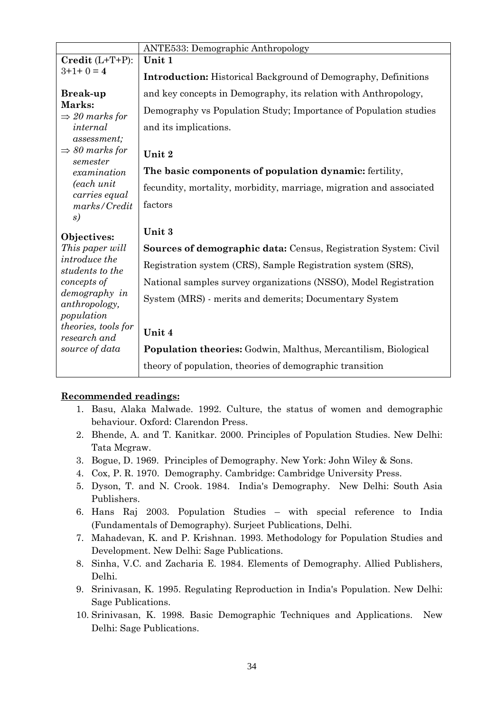|                                                       | <b>ANTE533: Demographic Anthropology</b>                              |
|-------------------------------------------------------|-----------------------------------------------------------------------|
| $\textbf{Credit} (\text{L+T+P})$ :                    | Unit 1                                                                |
| $3+1+0=4$                                             | <b>Introduction:</b> Historical Background of Demography, Definitions |
| <b>Break-up</b>                                       | and key concepts in Demography, its relation with Anthropology,       |
| Marks:<br>$\Rightarrow$ 20 marks for                  | Demography vs Population Study; Importance of Population studies      |
| internal                                              | and its implications.                                                 |
| assessment;<br>$\Rightarrow$ 80 marks for<br>semester | Unit 2                                                                |
| examination                                           | The basic components of population dynamic: fertility,                |
| (each unit)<br>carries equal                          | fecundity, mortality, morbidity, marriage, migration and associated   |
| marks/Credit<br>s)                                    | factors                                                               |
| Objectives:                                           | Unit 3                                                                |
| This paper will                                       | Sources of demographic data: Census, Registration System: Civil       |
| introduce the<br>students to the                      | Registration system (CRS), Sample Registration system (SRS),          |
| concepts of                                           | National samples survey organizations (NSSO), Model Registration      |
| demography in<br>anthropology,<br>population          | System (MRS) - merits and demerits; Documentary System                |
| <i>theories, tools for</i><br>research and            | Unit 4                                                                |
| source of data                                        | <b>Population theories:</b> Godwin, Malthus, Mercantilism, Biological |
|                                                       | theory of population, theories of demographic transition              |

- 1. Basu, Alaka Malwade. 1992. Culture, the status of women and demographic behaviour. Oxford: Clarendon Press.
- 2. Bhende, A. and T. Kanitkar. 2000. Principles of Population Studies. New Delhi: Tata Mcgraw.
- 3. Bogue, D. 1969. Principles of Demography. New York: John Wiley & Sons.
- 4. Cox, P. R. 1970. Demography. Cambridge: Cambridge University Press.
- 5. Dyson, T. and N. Crook. 1984. India's Demography. New Delhi: South Asia Publishers.
- 6. Hans Raj 2003. Population Studies with special reference to India (Fundamentals of Demography). Surjeet Publications, Delhi.
- 7. Mahadevan, K. and P. Krishnan. 1993. Methodology for Population Studies and Development. New Delhi: Sage Publications.
- 8. Sinha, V.C. and Zacharia E. 1984. Elements of Demography. Allied Publishers, Delhi.
- 9. Srinivasan, K. 1995. Regulating Reproduction in India's Population. New Delhi: Sage Publications.
- 10. Srinivasan, K. 1998. Basic Demographic Techniques and Applications. New Delhi: Sage Publications.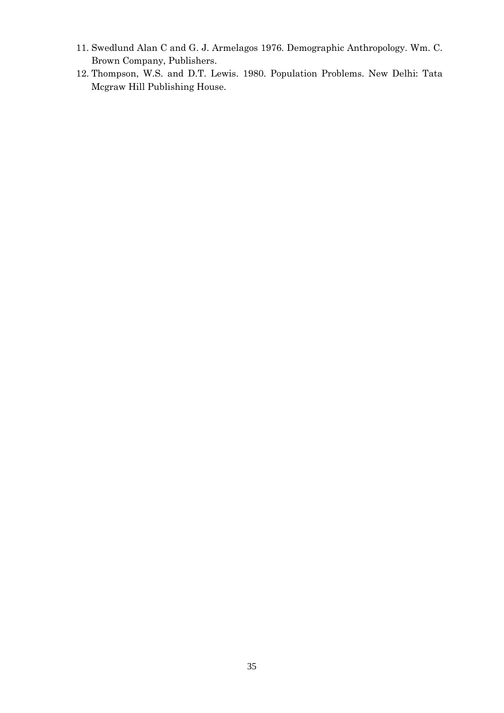- 11. Swedlund Alan C and G. J. Armelagos 1976. Demographic Anthropology. Wm. C. Brown Company, Publishers.
- 12. Thompson, W.S. and D.T. Lewis. 1980. Population Problems. New Delhi: Tata Mcgraw Hill Publishing House.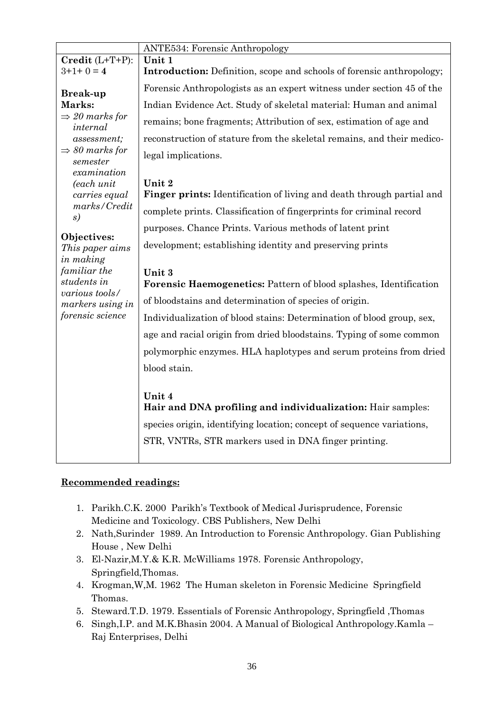|                                        | <b>ANTE534: Forensic Anthropology</b>                                        |
|----------------------------------------|------------------------------------------------------------------------------|
| $Credit (L+T+P):$                      | Unit 1                                                                       |
| $3+1+0=4$                              | <b>Introduction:</b> Definition, scope and schools of forensic anthropology; |
| <b>Break-up</b>                        | Forensic Anthropologists as an expert witness under section 45 of the        |
| Marks:                                 | Indian Evidence Act. Study of skeletal material: Human and animal            |
| $\Rightarrow$ 20 marks for<br>internal | remains; bone fragments; Attribution of sex, estimation of age and           |
| assessment;                            | reconstruction of stature from the skeletal remains, and their medico-       |
| $\Rightarrow$ 80 marks for<br>semester | legal implications.                                                          |
| examination                            |                                                                              |
| (each unit                             | Unit 2                                                                       |
| carries equal<br>marks/Credit          | Finger prints: Identification of living and death through partial and        |
| s)                                     | complete prints. Classification of fingerprints for criminal record          |
|                                        | purposes. Chance Prints. Various methods of latent print                     |
| Objectives:<br>This paper aims         | development; establishing identity and preserving prints                     |
| in making                              |                                                                              |
| familiar the                           | Unit 3                                                                       |
| students in                            | Forensic Haemogenetics: Pattern of blood splashes, Identification            |
| various tools/<br>markers using in     | of bloodstains and determination of species of origin.                       |
| forensic science                       | Individualization of blood stains: Determination of blood group, sex,        |
|                                        | age and racial origin from dried bloodstains. Typing of some common          |
|                                        | polymorphic enzymes. HLA haplotypes and serum proteins from dried            |
|                                        | blood stain.                                                                 |
|                                        | Unit 4                                                                       |
|                                        | Hair and DNA profiling and individualization: Hair samples:                  |
|                                        | species origin, identifying location; concept of sequence variations,        |
|                                        | STR, VNTRs, STR markers used in DNA finger printing.                         |
|                                        |                                                                              |

- 1. Parikh.C.K. 2000 Parikh's Textbook of Medical Jurisprudence, Forensic Medicine and Toxicology. CBS Publishers, New Delhi
- 2. Nath,Surinder 1989. An Introduction to Forensic Anthropology. Gian Publishing House , New Delhi
- 3. El-Nazir,M.Y.& K.R. McWilliams 1978. Forensic Anthropology, Springfield,Thomas.
- 4. Krogman,W,M. 1962 The Human skeleton in Forensic Medicine Springfield Thomas.
- 5. Steward.T.D. 1979. Essentials of Forensic Anthropology, Springfield ,Thomas
- 6. Singh,I.P. and M.K.Bhasin 2004. A Manual of Biological Anthropology.Kamla Raj Enterprises, Delhi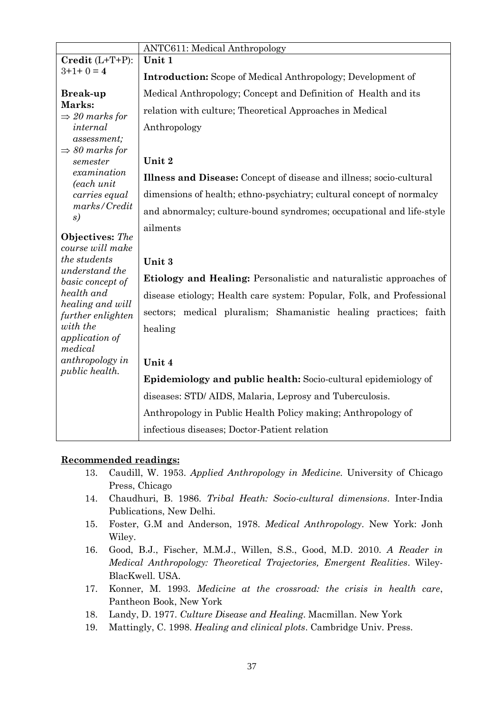|                                           | <b>ANTC611: Medical Anthropology</b>                                      |
|-------------------------------------------|---------------------------------------------------------------------------|
| $\textbf{Credit} (\text{L+T+P})$ :        | Unit 1                                                                    |
| $3+1+0=4$                                 | <b>Introduction:</b> Scope of Medical Anthropology; Development of        |
| <b>Break-up</b>                           | Medical Anthropology; Concept and Definition of Health and its            |
| Marks:<br>$\Rightarrow$ 20 marks for      | relation with culture; Theoretical Approaches in Medical                  |
| internal                                  | Anthropology                                                              |
| assessment;<br>$\Rightarrow$ 80 marks for |                                                                           |
| semester                                  | Unit 2                                                                    |
| examination<br>(each unit                 | Illness and Disease: Concept of disease and illness; socio-cultural       |
| carries equal                             | dimensions of health; ethno-psychiatry; cultural concept of normalcy      |
| marks/Credit<br>s)                        | and abnormalcy; culture-bound syndromes; occupational and life-style      |
| <b>Objectives:</b> The                    | ailments                                                                  |
| course will make                          |                                                                           |
| the students                              | Unit 3                                                                    |
| understand the<br>basic concept of        | <b>Etiology and Healing:</b> Personalistic and naturalistic approaches of |
| health and                                | disease etiology; Health care system: Popular, Folk, and Professional     |
| healing and will<br>further enlighten     | sectors; medical pluralism; Shamanistic healing practices; faith          |
| with the<br>application of                | healing                                                                   |
| medical                                   |                                                                           |
| anthropology in                           | Unit 4                                                                    |
| public health.                            | <b>Epidemiology and public health:</b> Socio-cultural epidemiology of     |
|                                           | diseases: STD/ AIDS, Malaria, Leprosy and Tuberculosis.                   |
|                                           | Anthropology in Public Health Policy making; Anthropology of              |
|                                           | infectious diseases; Doctor-Patient relation                              |

- 13. Caudill, W. 1953. *Applied Anthropology in Medicine.* University of Chicago Press, Chicago
- 14. Chaudhuri, B. 1986. *Tribal Heath: Socio-cultural dimensions*. Inter-India Publications, New Delhi.
- 15. Foster, G.M and Anderson, 1978. *Medical Anthropology*. New York: Jonh Wiley.
- 16. Good, B.J., Fischer, M.M.J., Willen, S.S., Good, M.D. 2010. *A Reader in Medical Anthropology: Theoretical Trajectories, Emergent Realities*. Wiley-BlacKwell. USA.
- 17. Konner, M. 1993. *Medicine at the crossroad: the crisis in health care*, Pantheon Book, New York
- 18. Landy, D. 1977. *Culture Disease and Healing*. Macmillan. New York
- 19. Mattingly, C. 1998. *Healing and clinical plots*. Cambridge Univ. Press.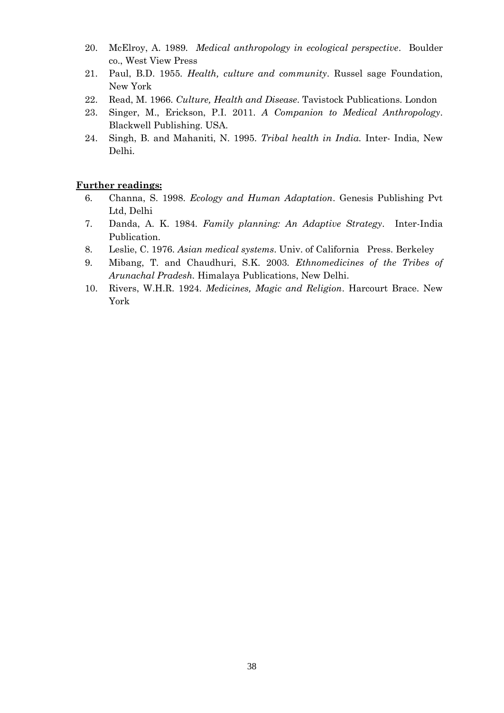- 20. McElroy, A. 1989. *Medical anthropology in ecological perspective*. Boulder co., West View Press
- 21. Paul, B.D. 1955*. Health, culture and community*. Russel sage Foundation, New York
- 22. Read, M. 1966. *Culture, Health and Disease*. Tavistock Publications. London
- 23. Singer, M., Erickson, P.I. 2011. *A Companion to Medical Anthropology*. Blackwell Publishing. USA.
- 24. Singh, B. and Mahaniti, N. 1995. *Tribal health in India.* Inter- India, New Delhi.

- 6. [Channa,](http://www.google.co.in/search?tbo=p&tbm=bks&q=inauthor:%22Subhadra+Channa%22) S. 1998. *Ecology and Human Adaptation*. Genesis Publishing Pvt Ltd, Delhi
- 7. Danda, A. K. 1984*. Family planning: An Adaptive Strategy*. Inter-India Publication.
- 8. Leslie, C. 1976. *Asian medical systems*. Univ. of California Press. Berkeley
- 9. Mibang, T. and Chaudhuri, S.K. 2003. *Ethnomedicines of the Tribes of Arunachal Pradesh.* Himalaya Publications, New Delhi.
- 10. Rivers, W.H.R. 1924. *Medicines, Magic and Religion*. Harcourt Brace. New York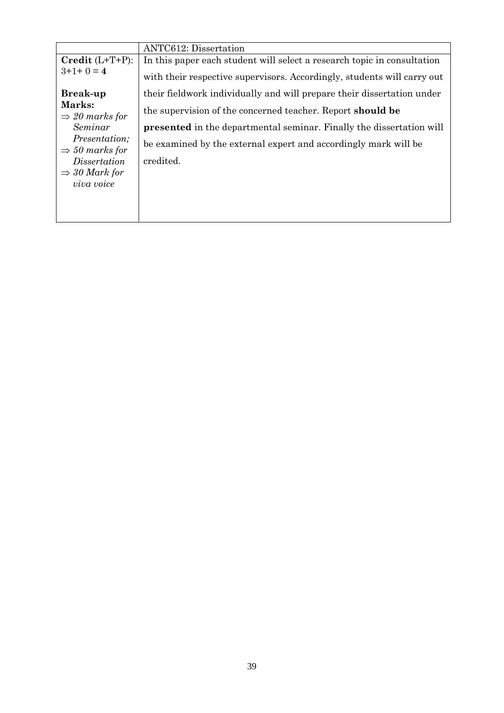|                                                                                                                                                    | <b>ANTC612</b> : Dissertation                                                                                                                                                                                                    |
|----------------------------------------------------------------------------------------------------------------------------------------------------|----------------------------------------------------------------------------------------------------------------------------------------------------------------------------------------------------------------------------------|
| $\textbf{Credit} (\text{L+T+P})$ :                                                                                                                 | In this paper each student will select a research topic in consultation                                                                                                                                                          |
| $3+1+0=4$                                                                                                                                          | with their respective supervisors. Accordingly, students will carry out                                                                                                                                                          |
| <b>Break-up</b>                                                                                                                                    | their fieldwork individually and will prepare their dissertation under                                                                                                                                                           |
| Marks:<br>$\Rightarrow$ 20 marks for<br>Seminar<br><i>Presentation:</i><br>$\Rightarrow$ 50 marks for<br>Dissertation<br>$\Rightarrow$ 30 Mark for | the supervision of the concerned teacher. Report <b>should be</b><br><b>presented</b> in the departmental seminar. Finally the dissertation will<br>be examined by the external expert and accordingly mark will be<br>credited. |
| viva voice                                                                                                                                         |                                                                                                                                                                                                                                  |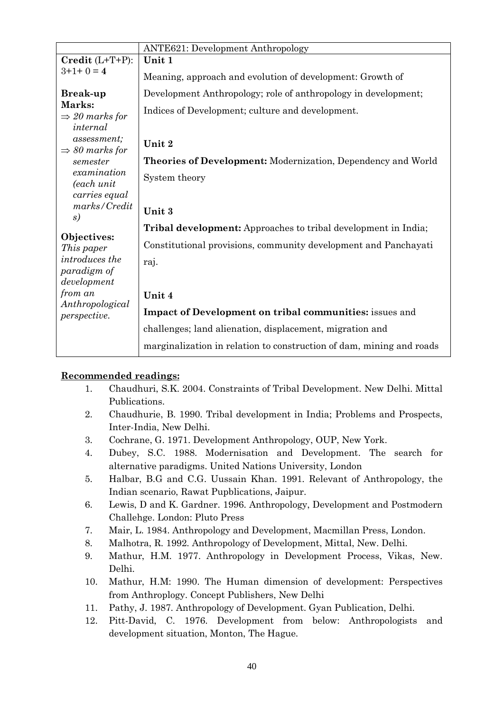|                                           | <b>ANTE621: Development Anthropology</b>                              |
|-------------------------------------------|-----------------------------------------------------------------------|
| $\textbf{Credit} (\text{L+T+P})$ :        | Unit 1                                                                |
| $3+1+0=4$                                 | Meaning, approach and evolution of development: Growth of             |
| <b>Break-up</b>                           | Development Anthropology; role of anthropology in development;        |
| Marks:                                    | Indices of Development; culture and development.                      |
| $\Rightarrow$ 20 marks for<br>internal    |                                                                       |
| assessment;<br>$\Rightarrow$ 80 marks for | Unit 2                                                                |
| semester                                  | Theories of Development: Modernization, Dependency and World          |
| examination                               | System theory                                                         |
| (each unit                                |                                                                       |
| carries equal<br>marks/Credit             |                                                                       |
| s)                                        | Unit 3                                                                |
|                                           | <b>Tribal development:</b> Approaches to tribal development in India; |
| Objectives:                               | Constitutional provisions, community development and Panchayati       |
| This paper<br><i>introduces the</i>       |                                                                       |
| paradigm of                               | raj.                                                                  |
| development                               |                                                                       |
| from an                                   | Unit 4                                                                |
| Anthropological<br><i>perspective.</i>    | Impact of Development on tribal communities: issues and               |
|                                           | challenges; land alienation, displacement, migration and              |
|                                           | marginalization in relation to construction of dam, mining and roads  |

- 1. Chaudhuri, S.K. 2004. Constraints of Tribal Development. New Delhi. Mittal Publications.
- 2. Chaudhurie, B. 1990. Tribal development in India; Problems and Prospects, Inter-India, New Delhi.
- 3. Cochrane, G. 1971. Development Anthropology, OUP, New York.
- 4. Dubey, S.C. 1988. Modernisation and Development. The search for alternative paradigms. United Nations University, London
- 5. Halbar, B.G and C.G. Uussain Khan. 1991. Relevant of Anthropology, the Indian scenario, Rawat Pupblications, Jaipur.
- 6. Lewis, D and K. Gardner. 1996. Anthropology, Development and Postmodern Challehge. London: Pluto Press
- 7. Mair, L. 1984. Anthropology and Development, Macmillan Press, London.
- 8. Malhotra, R. 1992. Anthropology of Development, Mittal, New. Delhi.
- 9. Mathur, H.M. 1977. Anthropology in Development Process, Vikas, New. Delhi.
- 10. Mathur, H.M: 1990. The Human dimension of development: Perspectives from Anthroplogy. Concept Publishers, New Delhi
- 11. Pathy, J. 1987. Anthropology of Development. Gyan Publication, Delhi.
- 12. Pitt-David, C. 1976. Development from below: Anthropologists and development situation, Monton, The Hague.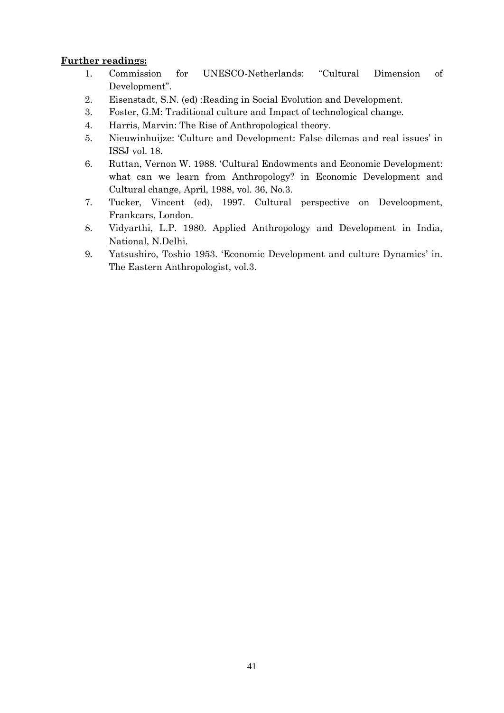- 1. Commission for UNESCO-Netherlands: "Cultural Dimension of Development".
- 2. Eisenstadt, S.N. (ed) :Reading in Social Evolution and Development.
- 3. Foster, G.M: Traditional culture and Impact of technological change.
- 4. Harris, Marvin: The Rise of Anthropological theory.
- 5. Nieuwinhuijze: 'Culture and Development: False dilemas and real issues' in ISSJ vol. 18.
- 6. Ruttan, Vernon W. 1988. 'Cultural Endowments and Economic Development: what can we learn from Anthropology? in Economic Development and Cultural change, April, 1988, vol. 36, No.3.
- 7. Tucker, Vincent (ed), 1997. Cultural perspective on Develoopment, Frankcars, London.
- 8. Vidyarthi, L.P. 1980. Applied Anthropology and Development in India, National, N.Delhi.
- 9. Yatsushiro, Toshio 1953. 'Economic Development and culture Dynamics' in. The Eastern Anthropologist, vol.3.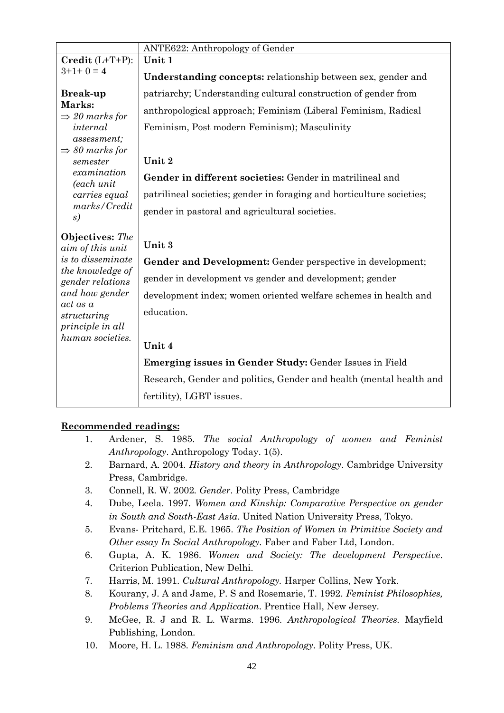|                                                                     | ANTE622: Anthropology of Gender                                       |
|---------------------------------------------------------------------|-----------------------------------------------------------------------|
| $Credit (L+T+P):$<br>$3+1+0=4$                                      | Unit 1                                                                |
|                                                                     | <b>Understanding concepts:</b> relationship between sex, gender and   |
| <b>Break-up</b><br>Marks:<br>$\Rightarrow$ 20 marks for<br>internal | patriarchy; Understanding cultural construction of gender from        |
|                                                                     | anthropological approach; Feminism (Liberal Feminism, Radical         |
|                                                                     | Feminism, Post modern Feminism); Masculinity                          |
| assessment;<br>$\Rightarrow$ 80 marks for                           |                                                                       |
| semester                                                            | Unit 2                                                                |
| examination<br>(each unit)                                          | Gender in different societies: Gender in matrilineal and              |
| carries equal                                                       | patrilineal societies; gender in foraging and horticulture societies; |
| marks/Credit<br>s)                                                  | gender in pastoral and agricultural societies.                        |
| <b>Objectives:</b> The<br>aim of this unit                          | Unit 3                                                                |
| <i>is to disseminate</i>                                            | <b>Gender and Development:</b> Gender perspective in development;     |
| the knowledge of<br>gender relations                                | gender in development vs gender and development; gender               |
| and how gender<br>act as a<br>structuring                           | development index; women oriented welfare schemes in health and       |
|                                                                     | education.                                                            |
| principle in all<br>human societies.                                |                                                                       |
|                                                                     | Unit 4                                                                |
|                                                                     | <b>Emerging issues in Gender Study: Gender Issues in Field</b>        |
|                                                                     | Research, Gender and politics, Gender and health (mental health and   |
|                                                                     | fertility), LGBT issues.                                              |

- 1. Ardener, S. 1985. *The social Anthropology of women and Feminist Anthropology*. Anthropology Today. 1(5).
- 2. Barnard, A. 2004*. History and theory in Anthropology*. Cambridge University Press, Cambridge.
- 3. Connell, R. W. 2002*. Gender*. Polity Press, Cambridge
- 4. Dube, Leela. 1997. *Women and Kinship: Comparative Perspective on gender in South and South-East Asia*. United Nation University Press, Tokyo.
- 5. Evans- Pritchard, E.E. 1965. *The Position of Women in Primitive Society and Other essay In Social Anthropology.* Faber and Faber Ltd, London.
- 6. Gupta, A. K. 1986. *Women and Society: The development Perspective*. Criterion Publication, New Delhi.
- 7. Harris, M. 1991. *Cultural Anthropology.* Harper Collins, New York.
- 8. Kourany, J. A and Jame, P. S and Rosemarie, T. 1992. *Feminist Philosophies, Problems Theories and Application*. Prentice Hall, New Jersey.
- 9. McGee, R. J and R. L. Warms. 1996. *Anthropological Theories.* Mayfield Publishing, London.
- 10. Moore, H. L. 1988. *Feminism and Anthropology*. Polity Press, UK.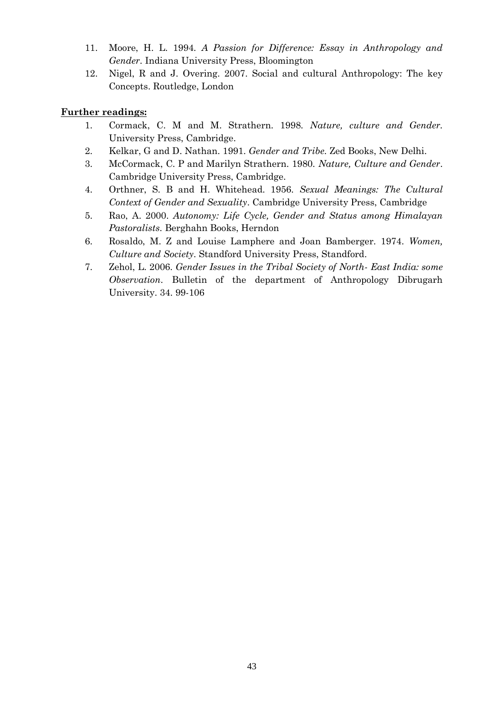- 11. Moore, H. L. 1994. *A Passion for Difference: Essay in Anthropology and Gender*. Indiana University Press, Bloomington
- 12. Nigel, R and J. Overing. 2007. Social and cultural Anthropology: The key Concepts. Routledge, London

- 1. Cormack, C. M and M. Strathern. 1998. *Nature, culture and Gender.*  University Press, Cambridge.
- 2. Kelkar, G and D. Nathan. 1991. *Gender and Tribe.* Zed Books, New Delhi.
- 3. McCormack, C. P and Marilyn Strathern. 1980. *Nature, Culture and Gender*. Cambridge University Press, Cambridge.
- 4. Orthner, S. B and H. Whitehead. 1956*. Sexual Meanings: The Cultural Context of Gender and Sexuality*. Cambridge University Press, Cambridge
- 5. Rao, A. 2000. *Autonomy: Life Cycle, Gender and Status among Himalayan Pastoralists*. Berghahn Books, Herndon
- 6. Rosaldo, M. Z and Louise Lamphere and Joan Bamberger. 1974. *Women, Culture and Society*. Standford University Press, Standford.
- 7. Zehol, L. 2006. *Gender Issues in the Tribal Society of North- East India: some Observation*. Bulletin of the department of Anthropology Dibrugarh University. 34. 99-106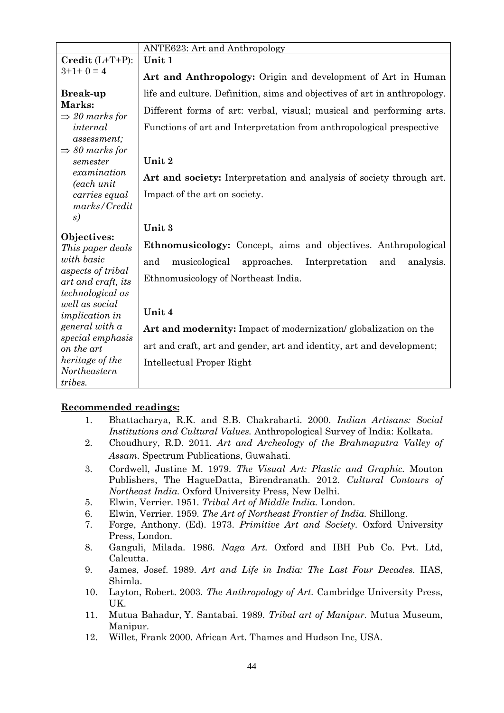|                                           | <b>ANTE623: Art and Anthropology</b>                                                                                                         |
|-------------------------------------------|----------------------------------------------------------------------------------------------------------------------------------------------|
| $Credit (L+T+P):$                         | Unit 1                                                                                                                                       |
| $3+1+0=4$                                 | Art and Anthropology: Origin and development of Art in Human                                                                                 |
| <b>Break-up</b><br>Marks:                 | life and culture. Definition, aims and objectives of art in anthropology.                                                                    |
| $\Rightarrow$ 20 marks for<br>internal    | Different forms of art: verbal, visual; musical and performing arts.<br>Functions of art and Interpretation from anthropological prespective |
| assessment;<br>$\Rightarrow$ 80 marks for |                                                                                                                                              |
| semester<br>examination                   | Unit 2                                                                                                                                       |
| (each unit                                | Art and society: Interpretation and analysis of society through art.                                                                         |
| carries equal<br>marks/Credit             | Impact of the art on society.                                                                                                                |
| s)                                        |                                                                                                                                              |
| Objectives:                               | Unit 3                                                                                                                                       |
| This paper deals                          | Ethnomusicology: Concept, aims and objectives. Anthropological                                                                               |
| with basic<br>aspects of tribal           | musicological<br>and<br>approaches.<br>Interpretation<br>analysis.<br>and                                                                    |
| art and craft, its                        | Ethnomusicology of Northeast India.                                                                                                          |
| technological as                          |                                                                                                                                              |
| well as social<br><i>implication in</i>   | Unit 4                                                                                                                                       |
| general with a                            | Art and modernity: Impact of modernization/globalization on the                                                                              |
| special emphasis<br>on the art            | art and craft, art and gender, art and identity, art and development;                                                                        |
| heritage of the<br>Northeastern           | Intellectual Proper Right                                                                                                                    |
| tribes.                                   |                                                                                                                                              |

- 1. Bhattacharya, R.K. and S.B. Chakrabarti. 2000. *Indian Artisans: Social Institutions and Cultural Values.* Anthropological Survey of India: Kolkata.
- 2. Choudhury, R.D. 2011. *Art and Archeology of the Brahmaputra Valley of Assam.* Spectrum Publications, Guwahati.
- 3. Cordwell, Justine M. 1979. *The Visual Art: Plastic and Graphic.* Mouton Publishers, The HagueDatta, Birendranath. 2012. *Cultural Contours of Northeast India.* Oxford University Press, New Delhi.
- 5. Elwin, Verrier. 1951. *Tribal Art of Middle India.* London.
- 6. Elwin, Verrier. 1959. *The Art of Northeast Frontier of India.* Shillong.
- 7. Forge, Anthony. (Ed). 1973. *Primitive Art and Society.* Oxford University Press, London.
- 8. Ganguli, Milada. 1986. *Naga Art.* Oxford and IBH Pub Co. Pvt. Ltd, Calcutta.
- 9. James, Josef. 1989. *Art and Life in India: The Last Four Decades.* IIAS, Shimla.
- 10. Layton, Robert. 2003. *The Anthropology of Art.* Cambridge University Press, UK.
- 11. Mutua Bahadur, Y. Santabai. 1989. *Tribal art of Manipur.* Mutua Museum, Manipur.
- 12. Willet, Frank 2000. African Art. Thames and Hudson Inc, USA.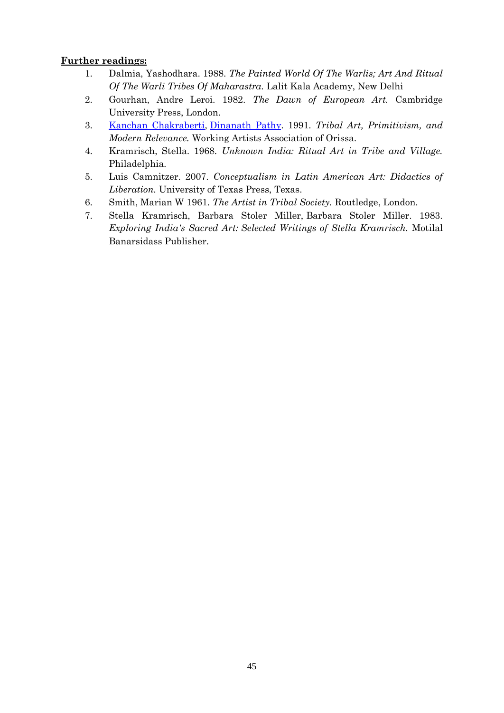- 1. Dalmia, Yashodhara. 1988. *The Painted World Of The Warlis; Art And Ritual Of The Warli Tribes Of Maharastra.* Lalit Kala Academy, New Delhi
- 2. Gourhan, Andre Leroi. 1982. *The Dawn of European Art.* Cambridge University Press, London.
- 3. [Kanchan Chakraberti,](http://www.google.co.in/search?tbo=p&tbm=bks&q=inauthor:%22Kanchan+Chakraberti%22) [Dinanath Pathy.](http://www.google.co.in/search?tbo=p&tbm=bks&q=inauthor:%22Dinanath+Pathy%22) 1991. *Tribal Art, Primitivism, and Modern Relevance.* Working Artists Association of Orissa.
- 4. Kramrisch, Stella. 1968. *Unknown India: Ritual Art in Tribe and Village.* Philadelphia.
- 5. Luis Camnitzer. 2007. *Conceptualism in Latin American Art: Didactics of Liberation.* University of Texas Press, Texas.
- 6. Smith, Marian W 1961. *The Artist in Tribal Society.* Routledge, London.
- 7. Stella Kramrisch, Barbara Stoler Miller, Barbara Stoler Miller. 1983. *Exploring India's Sacred Art: Selected Writings of Stella Kramrisch.* Motilal Banarsidass Publisher.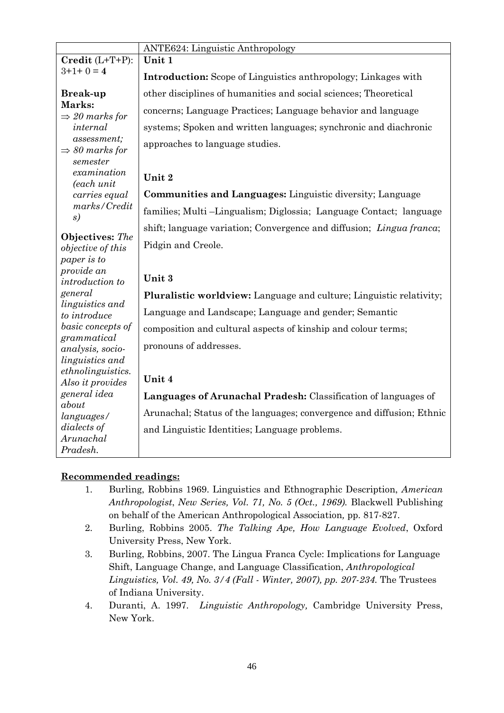|                                                         | <b>ANTE624: Linguistic Anthropology</b><br>Unit 1                          |
|---------------------------------------------------------|----------------------------------------------------------------------------|
| $\textbf{Credit} (\text{L+T+P})$ :                      |                                                                            |
| $3+1+0=4$                                               | <b>Introduction:</b> Scope of Linguistics anthropology; Linkages with      |
| <b>Break-up</b><br>Marks:<br>$\Rightarrow$ 20 marks for | other disciplines of humanities and social sciences; Theoretical           |
|                                                         | concerns; Language Practices; Language behavior and language               |
| internal                                                | systems; Spoken and written languages; synchronic and diachronic           |
| assessment;<br>$\Rightarrow$ 80 marks for               | approaches to language studies.                                            |
| semester<br>examination                                 | Unit 2                                                                     |
| (each unit<br>carries equal                             | <b>Communities and Languages:</b> Linguistic diversity; Language           |
| marks/Credit                                            | families; Multi-Lingualism; Diglossia; Language Contact; language          |
| s)                                                      | shift; language variation; Convergence and diffusion; Lingua franca;       |
| Objectives: The<br>objective of this                    | Pidgin and Creole.                                                         |
| paper is to                                             |                                                                            |
| provide an<br><i>introduction to</i>                    | Unit 3                                                                     |
| general                                                 | <b>Pluralistic worldview:</b> Language and culture; Linguistic relativity; |
| linguistics and<br>to introduce                         | Language and Landscape; Language and gender; Semantic                      |
| basic concepts of                                       | composition and cultural aspects of kinship and colour terms;              |
| grammatical<br>analysis, socio-                         | pronouns of addresses.                                                     |
| linguistics and<br>ethnolinguistics.                    |                                                                            |
| Also it provides                                        | Unit 4                                                                     |
| general idea<br>about                                   | Languages of Arunachal Pradesh: Classification of languages of             |
| languages/                                              | Arunachal; Status of the languages; convergence and diffusion; Ethnic      |
| dialects of<br>Arunachal                                | and Linguistic Identities; Language problems.                              |
| Pradesh.                                                |                                                                            |

- 1. Burling, Robbins 1969. Linguistics and Ethnographic Description, *American Anthropologist*, *New Series, Vol. 71, No. 5 (Oct., 1969).* Blackwell Publishing on behalf of the American Anthropological Association*,* pp. 817-827.
- 2. Burling, Robbins 2005. *The Talking Ape, How Language Evolved*, Oxford University Press, New York.
- 3. Burling, Robbins, 2007. The Lingua Franca Cycle: Implications for Language Shift, Language Change, and Language Classification, *Anthropological Linguistics, Vol. 49, No. 3/4 (Fall - Winter, 2007), pp. 207-234.* The Trustees of Indiana University.
- 4. Duranti, A. 1997. *Linguistic Anthropology,* Cambridge University Press, New York.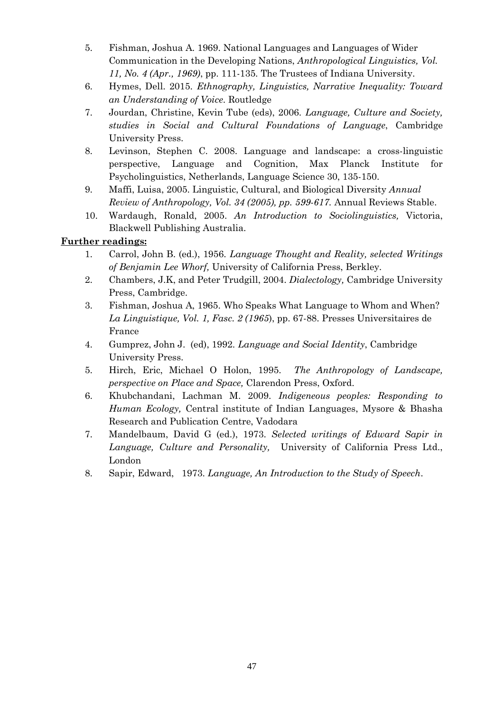- 5. Fishman, Joshua A. 1969. National Languages and Languages of Wider Communication in the Developing Nations, *Anthropological Linguistics, Vol. 11, No. 4 (Apr., 1969)*, pp. 111-135. The Trustees of Indiana University.
- 6. Hymes, Dell. 2015. *Ethnography, Linguistics, Narrative Inequality: Toward an Understanding of Voice*. Routledge
- 7. Jourdan, Christine, Kevin Tube (eds), 2006. *Language, Culture and Society, studies in Social and Cultural Foundations of Language*, Cambridge University Press.
- 8. Levinson, Stephen C. 2008. Language and landscape: a cross-linguistic perspective, Language and Cognition, Max Planck Institute for Psycholinguistics, Netherlands, Language Science 30, 135-150.
- 9. Maffi, Luisa, 2005. Linguistic, Cultural, and Biological Diversity *Annual Review of Anthropology, Vol. 34 (2005), pp. 599-617.* Annual Reviews Stable.
- 10. Wardaugh, Ronald, 2005. *An Introduction to Sociolinguistics,* Victoria, Blackwell Publishing Australia.

- 1. Carrol, John B. (ed.), 1956. *Language Thought and Reality, selected Writings of Benjamin Lee Whorf,* University of California Press, Berkley.
- 2. Chambers, J.K, and Peter Trudgill, 2004. *Dialectology,* Cambridge University Press, Cambridge.
- 3. Fishman, Joshua A, 1965. Who Speaks What Language to Whom and When? *La Linguistique, Vol. 1, Fasc. 2 (1965*), pp. 67-88. Presses Universitaires de France
- 4. Gumprez, John J. (ed), 1992. *Language and Social Identity*, Cambridge University Press.
- 5. Hirch, Eric, Michael O Holon, 1995. *The Anthropology of Landscape, perspective on Place and Space,* Clarendon Press, Oxford.
- 6. Khubchandani, Lachman M. 2009. *Indigeneous peoples: Responding to Human Ecology,* Central institute of Indian Languages, Mysore & Bhasha Research and Publication Centre, Vadodara
- 7. Mandelbaum, David G (ed.), 1973. *Selected writings of Edward Sapir in Language, Culture and Personality,* University of California Press Ltd., London
- 8. Sapir, Edward, 1973. *Language, An Introduction to the Study of Speech*.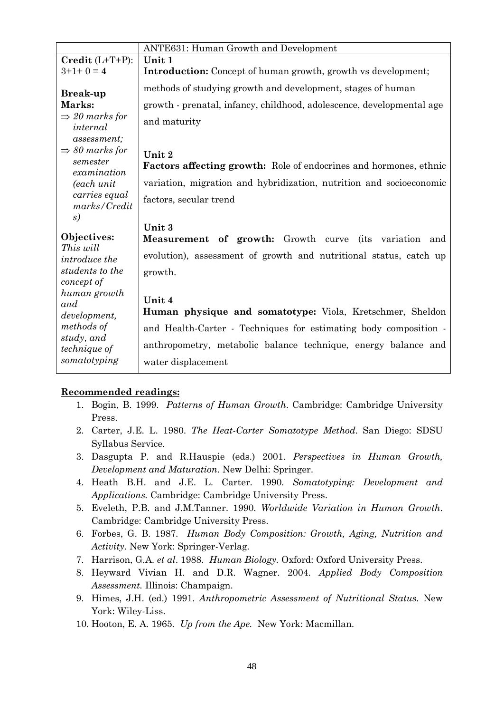|                                                                                                                     | <b>ANTE631: Human Growth and Development</b>                                                                                                                                                                                    |
|---------------------------------------------------------------------------------------------------------------------|---------------------------------------------------------------------------------------------------------------------------------------------------------------------------------------------------------------------------------|
| $Credit (L+T+P):$                                                                                                   | Unit 1                                                                                                                                                                                                                          |
| $3+1+0=4$                                                                                                           | <b>Introduction:</b> Concept of human growth, growth vs development;                                                                                                                                                            |
| <b>Break-up</b>                                                                                                     | methods of studying growth and development, stages of human                                                                                                                                                                     |
| Marks:                                                                                                              | growth - prenatal, infancy, childhood, adolescence, developmental age                                                                                                                                                           |
| $\Rightarrow$ 20 marks for<br>internal                                                                              | and maturity                                                                                                                                                                                                                    |
| assessment;<br>$\Rightarrow$ 80 marks for<br>semester<br>examination<br>(each unit<br>carries equal<br>marks/Credit | Unit 2<br><b>Factors affecting growth:</b> Role of endocrines and hormones, ethnic<br>variation, migration and hybridization, nutrition and socioeconomic<br>factors, secular trend                                             |
| s)<br>Objectives:<br>This will<br><i>introduce the</i><br>students to the<br>concept of                             | Unit 3<br><b>Measurement of growth:</b> Growth curve (its variation and<br>evolution), assessment of growth and nutritional status, catch up<br>growth.                                                                         |
| human growth<br>and<br>development,<br>methods of<br>study, and<br><i>technique of</i><br>somatotyping              | Unit 4<br>Human physique and somatotype: Viola, Kretschmer, Sheldon<br>and Health-Carter - Techniques for estimating body composition -<br>anthropometry, metabolic balance technique, energy balance and<br>water displacement |

- 1. Bogin, B. 1999. *Patterns of Human Growth*. Cambridge: Cambridge University Press.
- 2. Carter, J.E. L. 1980. *The Heat-Carter Somatotype Method*. San Diego: SDSU Syllabus Service.
- 3. Dasgupta P. and R.Hauspie (eds.) 2001. *Perspectives in Human Growth, Development and Maturation*. New Delhi: Springer.
- 4. Heath B.H. and J.E. L. Carter. 1990. *Somatotyping: Development and Applications.* Cambridge: Cambridge University Press.
- 5. Eveleth, P.B. and J.M.Tanner. 1990. *Worldwide Variation in Human Growth*. Cambridge: Cambridge University Press.
- 6. Forbes, G. B. 1987. *Human Body Composition: Growth, Aging, Nutrition and Activity*. New York: Springer-Verlag.
- 7. Harrison, G.A. *et al*. 1988. *Human Biology.* Oxford: Oxford University Press.
- 8. Heyward Vivian H. and D.R. Wagner. 2004. *Applied Body Composition Assessment.* Illinois: Champaign.
- 9. Himes, J.H. (ed.) 1991. *Anthropometric Assessment of Nutritional Status.* New York: Wiley-Liss.
- 10. Hooton, E. A. 1965. *Up from the Ape.* New York: Macmillan.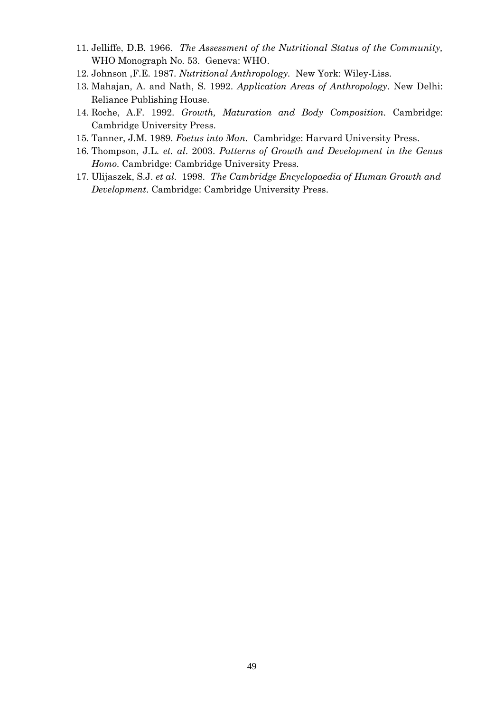- 11. Jelliffe, D.B. 1966. *The Assessment of the Nutritional Status of the Community,* WHO Monograph No. 53. Geneva: WHO.
- 12. Johnson ,F.E. 1987. *Nutritional Anthropology.* New York: Wiley-Liss.
- 13. Mahajan, A. and Nath, S. 1992. *Application Areas of Anthropology*. New Delhi: Reliance Publishing House.
- 14. Roche, A.F. 1992. *Growth, Maturation and Body Composition.* Cambridge: Cambridge University Press.
- 15. Tanner, J.M. 1989. *Foetus into Man.* Cambridge: Harvard University Press.
- 16. Thompson, J.L. *et. al*. 2003. *Patterns of Growth and Development in the Genus Homo*. Cambridge: Cambridge University Press.
- 17. Ulijaszek, S.J. *et al*. 1998. *The Cambridge Encyclopaedia of Human Growth and Development*. Cambridge: Cambridge University Press.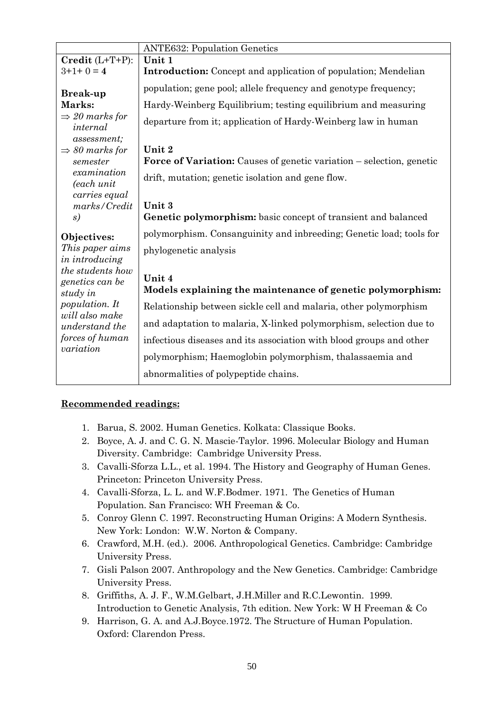|                                        | <b>ANTE632: Population Genetics</b>                                                   |
|----------------------------------------|---------------------------------------------------------------------------------------|
| $\textbf{Credit} (\text{L+T+P})$ :     | Unit 1                                                                                |
| $3+1+0=4$                              | <b>Introduction:</b> Concept and application of population; Mendelian                 |
| <b>Break-up</b>                        | population; gene pool; allele frequency and genotype frequency;                       |
| Marks:                                 | Hardy-Weinberg Equilibrium; testing equilibrium and measuring                         |
| $\Rightarrow$ 20 marks for<br>internal | departure from it; application of Hardy-Weinberg law in human                         |
| assessment;                            |                                                                                       |
| $\Rightarrow$ 80 marks for<br>semester | Unit 2<br><b>Force of Variation:</b> Causes of genetic variation – selection, genetic |
| examination<br>(each unit              | drift, mutation; genetic isolation and gene flow.                                     |
| carries equal<br>marks/Credit          | Unit 3                                                                                |
| s)                                     | Genetic polymorphism: basic concept of transient and balanced                         |
| Objectives:                            | polymorphism. Consanguinity and inbreeding; Genetic load; tools for                   |
| This paper aims<br>in introducing      | phylogenetic analysis                                                                 |
| the students how                       | Unit 4                                                                                |
| genetics can be<br>study in            | Models explaining the maintenance of genetic polymorphism:                            |
| population. It<br>will also make       | Relationship between sickle cell and malaria, other polymorphism                      |
| understand the                         | and adaptation to malaria, X-linked polymorphism, selection due to                    |
| forces of human<br>variation           | infectious diseases and its association with blood groups and other                   |
|                                        | polymorphism; Haemoglobin polymorphism, thalassaemia and                              |
|                                        | abnormalities of polypeptide chains.                                                  |

- 1. Barua, S. 2002. Human Genetics. Kolkata: Classique Books.
- 2. Boyce, A. J. and C. G. N. Mascie-Taylor. 1996. Molecular Biology and Human Diversity. Cambridge: Cambridge University Press.
- 3. Cavalli-Sforza L.L., et al. 1994. The History and Geography of Human Genes. Princeton: Princeton University Press.
- 4. Cavalli-Sforza, L. L. and W.F.Bodmer. 1971. The Genetics of Human Population. San Francisco: WH Freeman & Co.
- 5. Conroy Glenn C. 1997. Reconstructing Human Origins: A Modern Synthesis. New York: London: W.W. Norton & Company.
- 6. Crawford, M.H. (ed.). 2006. Anthropological Genetics. Cambridge: Cambridge University Press.
- 7. Gisli Palson 2007. Anthropology and the New Genetics. Cambridge: Cambridge University Press.
- 8. Griffiths, A. J. F., W.M.Gelbart, J.H.Miller and R.C.Lewontin. 1999. Introduction to Genetic Analysis, 7th edition. New York: W H Freeman & Co
- 9. Harrison, G. A. and A.J.Boyce.1972. The Structure of Human Population. Oxford: Clarendon Press.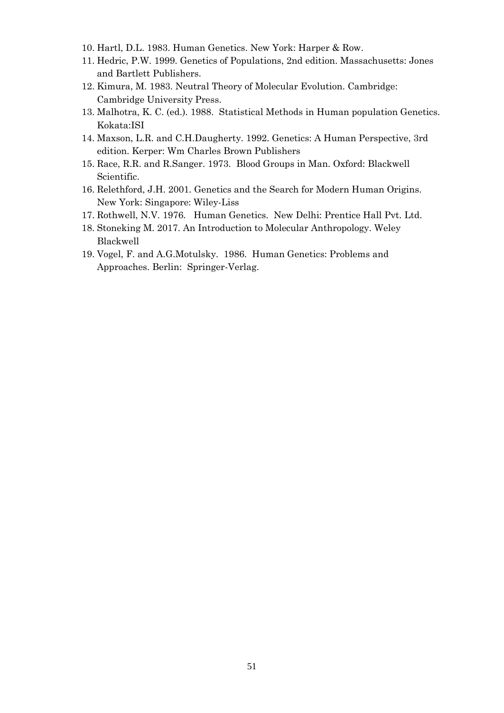- 10. Hartl, D.L. 1983. Human Genetics. New York: Harper & Row.
- 11. Hedric, P.W. 1999. Genetics of Populations, 2nd edition. Massachusetts: Jones and Bartlett Publishers.
- 12. Kimura, M. 1983. Neutral Theory of Molecular Evolution. Cambridge: Cambridge University Press.
- 13. Malhotra, K. C. (ed.). 1988. Statistical Methods in Human population Genetics. Kokata:ISI
- 14. Maxson, L.R. and C.H.Daugherty. 1992. Genetics: A Human Perspective, 3rd edition. Kerper: Wm Charles Brown Publishers
- 15. Race, R.R. and R.Sanger. 1973. Blood Groups in Man. Oxford: Blackwell Scientific.
- 16. Relethford, J.H. 2001. Genetics and the Search for Modern Human Origins. New York: Singapore: Wiley-Liss
- 17. Rothwell, N.V. 1976. Human Genetics. New Delhi: Prentice Hall Pvt. Ltd.
- 18. Stoneking M. 2017. An Introduction to Molecular Anthropology. Weley Blackwell
- 19. Vogel, F. and A.G.Motulsky. 1986. Human Genetics: Problems and Approaches. Berlin: Springer-Verlag.